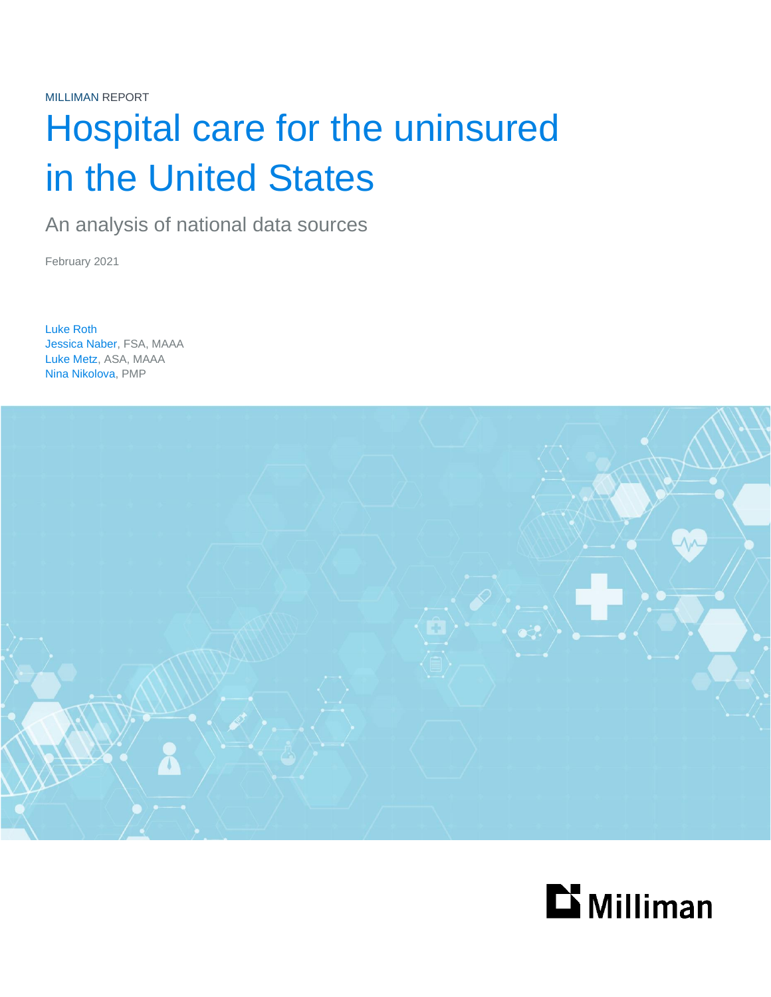# Hospital care for the uninsured in the United States

An analysis of national data sources

February 2021

Luke Roth Jessica Naber, FSA, MAAA Luke Metz, ASA, MAAA Nina Nikolova, PMP



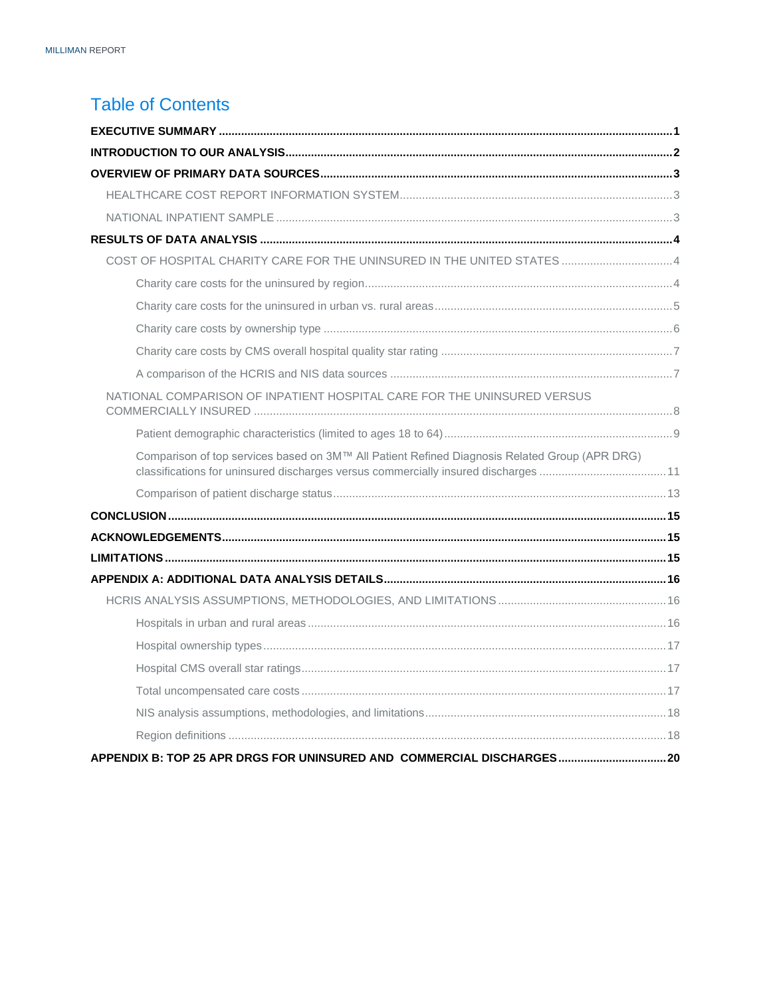### **Table of Contents**

| NATIONAL COMPARISON OF INPATIENT HOSPITAL CARE FOR THE UNINSURED VERSUS                       |  |
|-----------------------------------------------------------------------------------------------|--|
|                                                                                               |  |
| Comparison of top services based on 3M™ All Patient Refined Diagnosis Related Group (APR DRG) |  |
|                                                                                               |  |
|                                                                                               |  |
|                                                                                               |  |
|                                                                                               |  |
|                                                                                               |  |
|                                                                                               |  |
|                                                                                               |  |
|                                                                                               |  |
|                                                                                               |  |
|                                                                                               |  |
|                                                                                               |  |
|                                                                                               |  |
| APPENDIX B: TOP 25 APR DRGS FOR UNINSURED AND COMMERCIAL DISCHARGES20                         |  |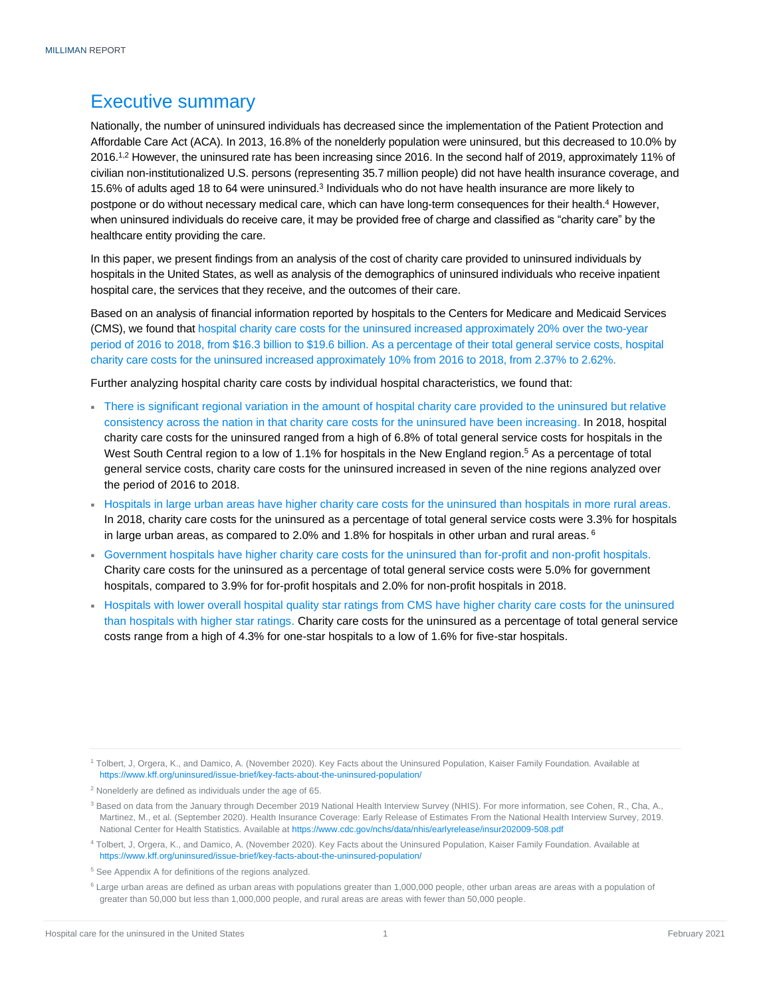### <span id="page-2-0"></span>Executive summary

Nationally, the number of uninsured individuals has decreased since the implementation of the Patient Protection and Affordable Care Act (ACA). In 2013, 16.8% of the nonelderly population were uninsured, but this decreased to 10.0% by 2016.1,2 However, the uninsured rate has been increasing since 2016. In the second half of 2019, approximately 11% of civilian non-institutionalized U.S. persons (representing 35.7 million people) did not have health insurance coverage, and 15.6% of adults aged 18 to 64 were uninsured.<sup>3</sup> Individuals who do not have health insurance are more likely to postpone or do without necessary medical care, which can have long-term consequences for their health.<sup>4</sup> However, when uninsured individuals do receive care, it may be provided free of charge and classified as "charity care" by the healthcare entity providing the care.

In this paper, we present findings from an analysis of the cost of charity care provided to uninsured individuals by hospitals in the United States, as well as analysis of the demographics of uninsured individuals who receive inpatient hospital care, the services that they receive, and the outcomes of their care.

Based on an analysis of financial information reported by hospitals to the Centers for Medicare and Medicaid Services (CMS), we found that hospital charity care costs for the uninsured increased approximately 20% over the two-year period of 2016 to 2018, from \$16.3 billion to \$19.6 billion. As a percentage of their total general service costs, hospital charity care costs for the uninsured increased approximately 10% from 2016 to 2018, from 2.37% to 2.62%.

Further analyzing hospital charity care costs by individual hospital characteristics, we found that:

- There is significant regional variation in the amount of hospital charity care provided to the uninsured but relative consistency across the nation in that charity care costs for the uninsured have been increasing. In 2018, hospital charity care costs for the uninsured ranged from a high of 6.8% of total general service costs for hospitals in the West South Central region to a low of 1.1% for hospitals in the New England region.<sup>5</sup> As a percentage of total general service costs, charity care costs for the uninsured increased in seven of the nine regions analyzed over the period of 2016 to 2018.
- Hospitals in large urban areas have higher charity care costs for the uninsured than hospitals in more rural areas. In 2018, charity care costs for the uninsured as a percentage of total general service costs were 3.3% for hospitals in large urban areas, as compared to 2.0% and 1.8% for hospitals in other urban and rural areas.  $^6$
- Government hospitals have higher charity care costs for the uninsured than for-profit and non-profit hospitals. Charity care costs for the uninsured as a percentage of total general service costs were 5.0% for government hospitals, compared to 3.9% for for-profit hospitals and 2.0% for non-profit hospitals in 2018.
- Hospitals with lower overall hospital quality star ratings from CMS have higher charity care costs for the uninsured than hospitals with higher star ratings. Charity care costs for the uninsured as a percentage of total general service costs range from a high of 4.3% for one-star hospitals to a low of 1.6% for five-star hospitals.

<sup>4</sup> Tolbert, J, Orgera, K., and Damico, A. (November 2020). Key Facts about the Uninsured Population, Kaiser Family Foundation. Available at <https://www.kff.org/uninsured/issue-brief/key-facts-about-the-uninsured-population/>

<sup>1</sup> Tolbert, J, Orgera, K., and Damico, A. (November 2020). Key Facts about the Uninsured Population, Kaiser Family Foundation. Available at <https://www.kff.org/uninsured/issue-brief/key-facts-about-the-uninsured-population/>

<sup>2</sup> Nonelderly are defined as individuals under the age of 65.

<sup>3</sup> Based on data from the January through December 2019 National Health Interview Survey (NHIS). For more information, see Cohen, R., Cha, A., Martinez, M., et al. (September 2020). Health Insurance Coverage: Early Release of Estimates From the National Health Interview Survey, 2019. National Center for Health Statistics. Available at<https://www.cdc.gov/nchs/data/nhis/earlyrelease/insur202009-508.pdf>

<sup>5</sup> See Appendix A for definitions of the regions analyzed.

<sup>&</sup>lt;sup>6</sup> Large urban areas are defined as urban areas with populations greater than 1,000,000 people, other urban areas are areas with a population of greater than 50,000 but less than 1,000,000 people, and rural areas are areas with fewer than 50,000 people.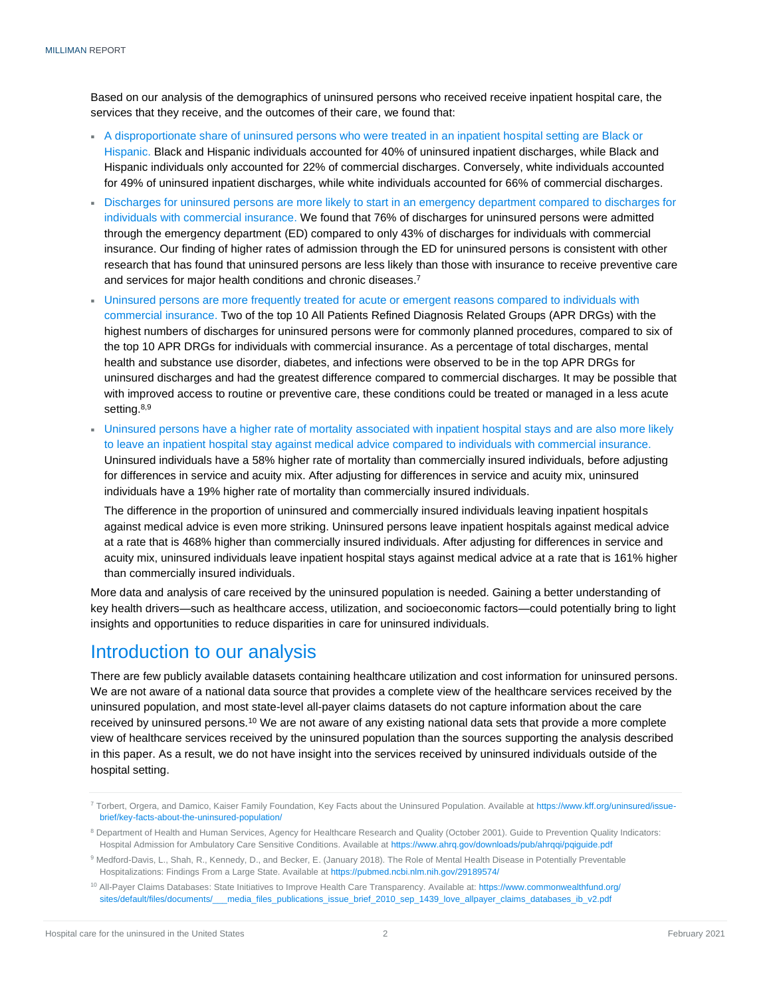Based on our analysis of the demographics of uninsured persons who received receive inpatient hospital care, the services that they receive, and the outcomes of their care, we found that:

- A disproportionate share of uninsured persons who were treated in an inpatient hospital setting are Black or Hispanic. Black and Hispanic individuals accounted for 40% of uninsured inpatient discharges, while Black and Hispanic individuals only accounted for 22% of commercial discharges. Conversely, white individuals accounted for 49% of uninsured inpatient discharges, while white individuals accounted for 66% of commercial discharges.
- Discharges for uninsured persons are more likely to start in an emergency department compared to discharges for individuals with commercial insurance. We found that 76% of discharges for uninsured persons were admitted through the emergency department (ED) compared to only 43% of discharges for individuals with commercial insurance. Our finding of higher rates of admission through the ED for uninsured persons is consistent with other research that has found that uninsured persons are less likely than those with insurance to receive preventive care and services for major health conditions and chronic diseases.<sup>7</sup>
- Uninsured persons are more frequently treated for acute or emergent reasons compared to individuals with commercial insurance. Two of the top 10 All Patients Refined Diagnosis Related Groups (APR DRGs) with the highest numbers of discharges for uninsured persons were for commonly planned procedures, compared to six of the top 10 APR DRGs for individuals with commercial insurance. As a percentage of total discharges, mental health and substance use disorder, diabetes, and infections were observed to be in the top APR DRGs for uninsured discharges and had the greatest difference compared to commercial discharges. It may be possible that with improved access to routine or preventive care, these conditions could be treated or managed in a less acute setting.<sup>8,9</sup>
- Uninsured persons have a higher rate of mortality associated with inpatient hospital stays and are also more likely to leave an inpatient hospital stay against medical advice compared to individuals with commercial insurance. Uninsured individuals have a 58% higher rate of mortality than commercially insured individuals, before adjusting for differences in service and acuity mix. After adjusting for differences in service and acuity mix, uninsured individuals have a 19% higher rate of mortality than commercially insured individuals.

The difference in the proportion of uninsured and commercially insured individuals leaving inpatient hospitals against medical advice is even more striking. Uninsured persons leave inpatient hospitals against medical advice at a rate that is 468% higher than commercially insured individuals. After adjusting for differences in service and acuity mix, uninsured individuals leave inpatient hospital stays against medical advice at a rate that is 161% higher than commercially insured individuals.

More data and analysis of care received by the uninsured population is needed. Gaining a better understanding of key health drivers—such as healthcare access, utilization, and socioeconomic factors—could potentially bring to light insights and opportunities to reduce disparities in care for uninsured individuals.

### <span id="page-3-0"></span>Introduction to our analysis

There are few publicly available datasets containing healthcare utilization and cost information for uninsured persons. We are not aware of a national data source that provides a complete view of the healthcare services received by the uninsured population, and most state-level all-payer claims datasets do not capture information about the care received by uninsured persons.<sup>10</sup> We are not aware of any existing national data sets that provide a more complete view of healthcare services received by the uninsured population than the sources supporting the analysis described in this paper. As a result, we do not have insight into the services received by uninsured individuals outside of the hospital setting.

<sup>&</sup>lt;sup>7</sup> Torbert, Orgera, and Damico, Kaiser Family Foundation, Key Facts about the Uninsured Population. Available a[t https://www.kff.org/uninsured/issue](https://www.kff.org/uninsured/issue-brief/key-facts-about-the-uninsured-population/)[brief/key-facts-about-the-uninsured-population/](https://www.kff.org/uninsured/issue-brief/key-facts-about-the-uninsured-population/)

<sup>&</sup>lt;sup>8</sup> Department of Health and Human Services, Agency for Healthcare Research and Quality (October 2001). Guide to Prevention Quality Indicators: Hospital Admission for Ambulatory Care Sensitive Conditions. Available a[t https://www.ahrq.gov/downloads/pub/ahrqqi/pqiguide.pdf](https://www.ahrq.gov/downloads/pub/ahrqqi/pqiguide.pdf)

<sup>9</sup> Medford-Davis, L., Shah, R., Kennedy, D., and Becker, E. (January 2018). The Role of Mental Health Disease in Potentially Preventable Hospitalizations: Findings From a Large State. Available at<https://pubmed.ncbi.nlm.nih.gov/29189574/>

<sup>&</sup>lt;sup>10</sup> All-Payer Claims Databases: State Initiatives to Improve Health Care Transparency. Available at[: https://www.commonwealthfund.org/](https://www.commonwealthfund.org/sites/default/files/documents/___media_files_publications_issue_brief_2010_sep_1439_love_allpayer_claims_databases_ib_v2.pdf) [sites/default/files/documents/\\_\\_\\_media\\_files\\_publications\\_issue\\_brief\\_2010\\_sep\\_1439\\_love\\_allpayer\\_claims\\_databases\\_ib\\_v2.pdf](https://www.commonwealthfund.org/sites/default/files/documents/___media_files_publications_issue_brief_2010_sep_1439_love_allpayer_claims_databases_ib_v2.pdf)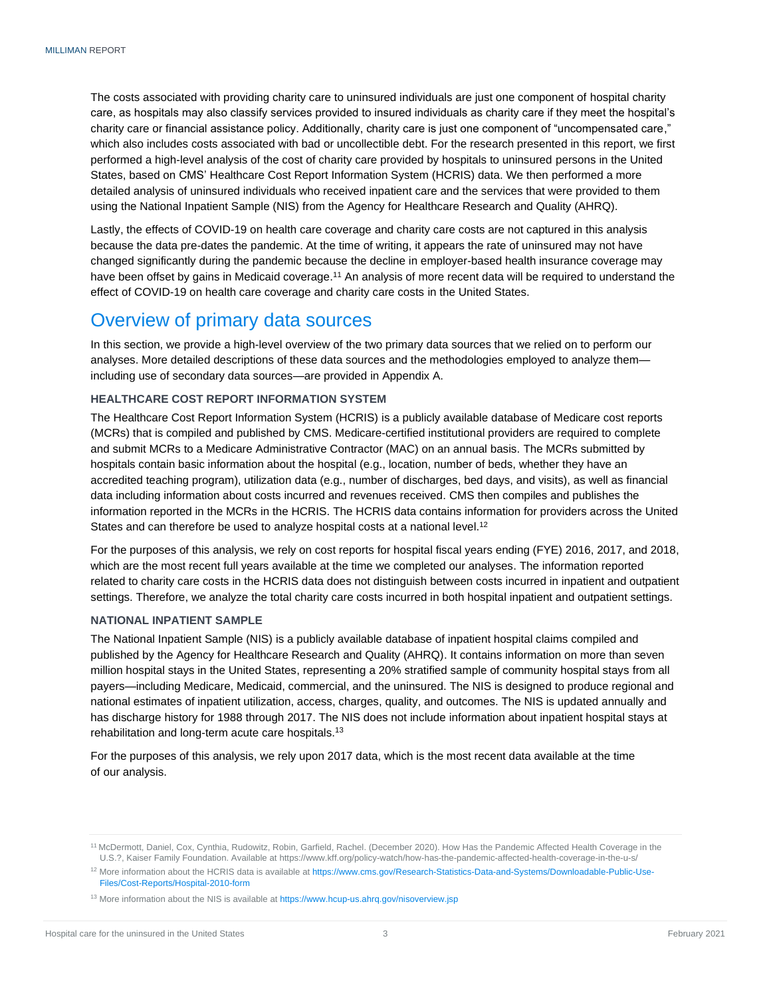The costs associated with providing charity care to uninsured individuals are just one component of hospital charity care, as hospitals may also classify services provided to insured individuals as charity care if they meet the hospital's charity care or financial assistance policy. Additionally, charity care is just one component of "uncompensated care," which also includes costs associated with bad or uncollectible debt. For the research presented in this report, we first performed a high-level analysis of the cost of charity care provided by hospitals to uninsured persons in the United States, based on CMS' Healthcare Cost Report Information System (HCRIS) data. We then performed a more detailed analysis of uninsured individuals who received inpatient care and the services that were provided to them using the National Inpatient Sample (NIS) from the Agency for Healthcare Research and Quality (AHRQ).

Lastly, the effects of COVID-19 on health care coverage and charity care costs are not captured in this analysis because the data pre-dates the pandemic. At the time of writing, it appears the rate of uninsured may not have changed significantly during the pandemic because the decline in employer-based health insurance coverage may have been offset by gains in Medicaid coverage.<sup>11</sup> An analysis of more recent data will be required to understand the effect of COVID-19 on health care coverage and charity care costs in the United States.

### <span id="page-4-0"></span>Overview of primary data sources

In this section, we provide a high-level overview of the two primary data sources that we relied on to perform our analyses. More detailed descriptions of these data sources and the methodologies employed to analyze them including use of secondary data sources—are provided in Appendix A.

#### <span id="page-4-1"></span>**HEALTHCARE COST REPORT INFORMATION SYSTEM**

The Healthcare Cost Report Information System (HCRIS) is a publicly available database of Medicare cost reports (MCRs) that is compiled and published by CMS. Medicare-certified institutional providers are required to complete and submit MCRs to a Medicare Administrative Contractor (MAC) on an annual basis. The MCRs submitted by hospitals contain basic information about the hospital (e.g., location, number of beds, whether they have an accredited teaching program), utilization data (e.g., number of discharges, bed days, and visits), as well as financial data including information about costs incurred and revenues received. CMS then compiles and publishes the information reported in the MCRs in the HCRIS. The HCRIS data contains information for providers across the United States and can therefore be used to analyze hospital costs at a national level.<sup>12</sup>

For the purposes of this analysis, we rely on cost reports for hospital fiscal years ending (FYE) 2016, 2017, and 2018, which are the most recent full years available at the time we completed our analyses. The information reported related to charity care costs in the HCRIS data does not distinguish between costs incurred in inpatient and outpatient settings. Therefore, we analyze the total charity care costs incurred in both hospital inpatient and outpatient settings.

#### <span id="page-4-2"></span>**NATIONAL INPATIENT SAMPLE**

The National Inpatient Sample (NIS) is a publicly available database of inpatient hospital claims compiled and published by the Agency for Healthcare Research and Quality (AHRQ). It contains information on more than seven million hospital stays in the United States, representing a 20% stratified sample of community hospital stays from all payers—including Medicare, Medicaid, commercial, and the uninsured. The NIS is designed to produce regional and national estimates of inpatient utilization, access, charges, quality, and outcomes. The NIS is updated annually and has discharge history for 1988 through 2017. The NIS does not include information about inpatient hospital stays at rehabilitation and long-term acute care hospitals.<sup>13</sup>

For the purposes of this analysis, we rely upon 2017 data, which is the most recent data available at the time of our analysis.

<sup>11</sup> McDermott, Daniel, Cox, Cynthia, Rudowitz, Robin, Garfield, Rachel. (December 2020). How Has the Pandemic Affected Health Coverage in the U.S.?, Kaiser Family Foundation. Available at https://www.kff.org/policy-watch/how-has-the-pandemic-affected-health-coverage-in-the-u-s/

<sup>12</sup> More information about the HCRIS data is available a[t https://www.cms.gov/Research-Statistics-Data-and-Systems/Downloadable-Public-Use-](https://www.cms.gov/Research-Statistics-Data-and-Systems/Downloadable-Public-Use-Files/Cost-Reports/Hospital-2010-form)[Files/Cost-Reports/Hospital-2010-form](https://www.cms.gov/Research-Statistics-Data-and-Systems/Downloadable-Public-Use-Files/Cost-Reports/Hospital-2010-form)

<sup>&</sup>lt;sup>13</sup> More information about the NIS is available a[t https://www.hcup-us.ahrq.gov/nisoverview.jsp](https://www.hcup-us.ahrq.gov/nisoverview.jsp)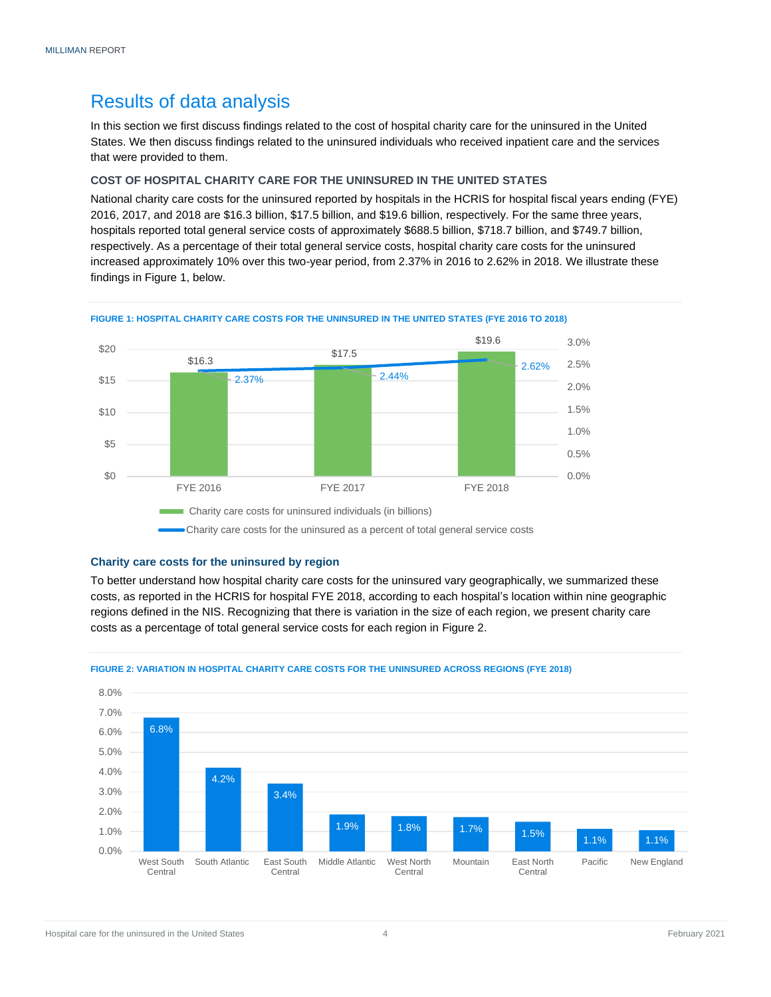### <span id="page-5-0"></span>Results of data analysis

In this section we first discuss findings related to the cost of hospital charity care for the uninsured in the United States. We then discuss findings related to the uninsured individuals who received inpatient care and the services that were provided to them.

#### <span id="page-5-1"></span>**COST OF HOSPITAL CHARITY CARE FOR THE UNINSURED IN THE UNITED STATES**

National charity care costs for the uninsured reported by hospitals in the HCRIS for hospital fiscal years ending (FYE) 2016, 2017, and 2018 are \$16.3 billion, \$17.5 billion, and \$19.6 billion, respectively. For the same three years, hospitals reported total general service costs of approximately \$688.5 billion, \$718.7 billion, and \$749.7 billion, respectively. As a percentage of their total general service costs, hospital charity care costs for the uninsured increased approximately 10% over this two-year period, from 2.37% in 2016 to 2.62% in 2018. We illustrate these findings in Figure 1, below.



#### **FIGURE 1: HOSPITAL CHARITY CARE COSTS FOR THE UNINSURED IN THE UNITED STATES (FYE 2016 TO 2018)**

#### <span id="page-5-2"></span>**Charity care costs for the uninsured by region**

To better understand how hospital charity care costs for the uninsured vary geographically, we summarized these costs, as reported in the HCRIS for hospital FYE 2018, according to each hospital's location within nine geographic regions defined in the NIS. Recognizing that there is variation in the size of each region, we present charity care costs as a percentage of total general service costs for each region in Figure 2.



#### **FIGURE 2: VARIATION IN HOSPITAL CHARITY CARE COSTS FOR THE UNINSURED ACROSS REGIONS (FYE 2018)**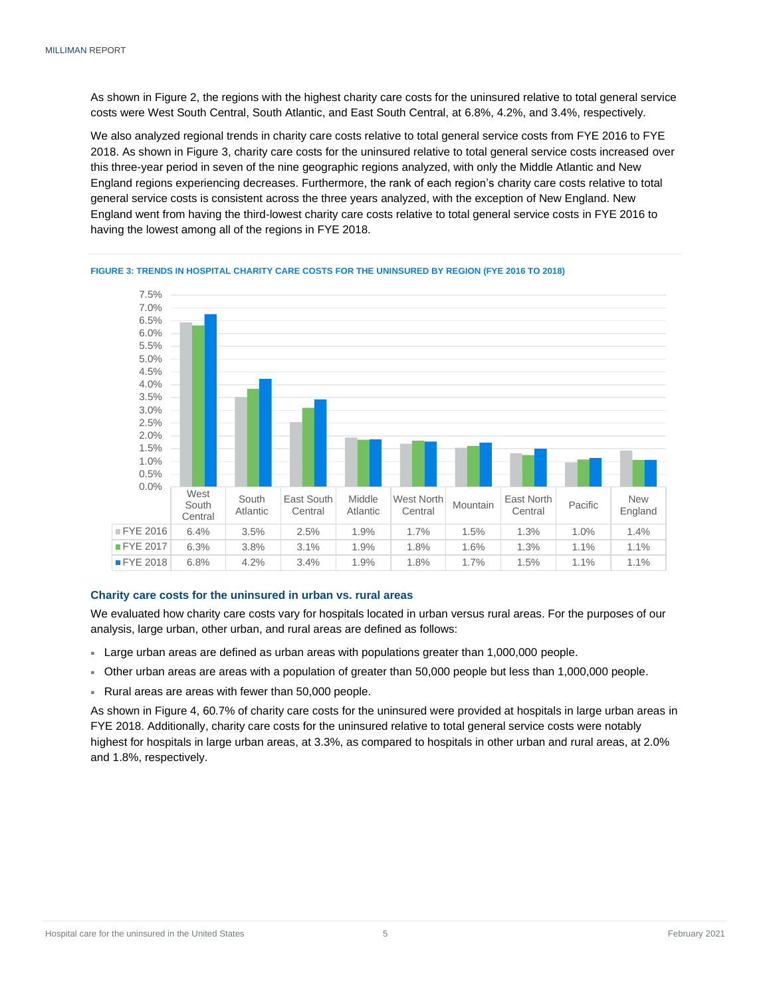As shown in Figure 2, the regions with the highest charity care costs for the uninsured relative to total general service costs were West South Central, South Atlantic, and East South Central, at 6.8%, 4.2%, and 3.4%, respectively.

We also analyzed regional trends in charity care costs relative to total general service costs from FYE 2016 to FYE 2018. As shown in Figure 3, charity care costs for the uninsured relative to total general service costs increased over this three-year period in seven of the nine geographic regions analyzed, with only the Middle Atlantic and New England regions experiencing decreases. Furthermore, the rank of each region's charity care costs relative to total general service costs is consistent across the three years analyzed, with the exception of New England. New England went from having the third-lowest charity care costs relative to total general service costs in FYE 2016 to having the lowest among all of the regions in FYE 2018.



#### **FIGURE 3: TRENDS IN HOSPITAL CHARITY CARE COSTS FOR THE UNINSURED BY REGION (FYE 2016 TO 2018)**

#### <span id="page-6-0"></span>**Charity care costs for the uninsured in urban vs. rural areas**

We evaluated how charity care costs vary for hospitals located in urban versus rural areas. For the purposes of our analysis, large urban, other urban, and rural areas are defined as follows:

- Large urban areas are defined as urban areas with populations greater than 1,000,000 people.
- Other urban areas are areas with a population of greater than 50,000 people but less than 1,000,000 people.
- Rural areas are areas with fewer than 50,000 people.

As shown in Figure 4, 60.7% of charity care costs for the uninsured were provided at hospitals in large urban areas in FYE 2018. Additionally, charity care costs for the uninsured relative to total general service costs were notably highest for hospitals in large urban areas, at 3.3%, as compared to hospitals in other urban and rural areas, at 2.0% and 1.8%, respectively.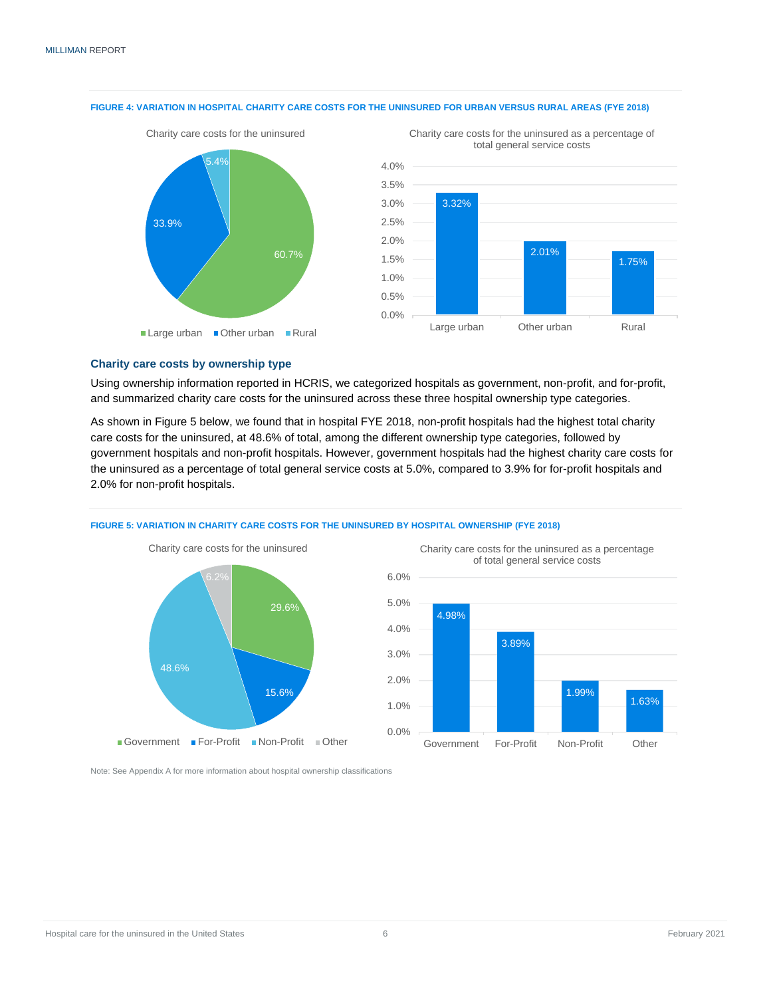

#### **FIGURE 4: VARIATION IN HOSPITAL CHARITY CARE COSTS FOR THE UNINSURED FOR URBAN VERSUS RURAL AREAS (FYE 2018)**



Charity care costs for the uninsured as a percentage of

## <span id="page-7-0"></span>**Charity care costs by ownership type**

Using ownership information reported in HCRIS, we categorized hospitals as government, non-profit, and for-profit, and summarized charity care costs for the uninsured across these three hospital ownership type categories.

As shown in Figure 5 below, we found that in hospital FYE 2018, non-profit hospitals had the highest total charity care costs for the uninsured, at 48.6% of total, among the different ownership type categories, followed by government hospitals and non-profit hospitals. However, government hospitals had the highest charity care costs for the uninsured as a percentage of total general service costs at 5.0%, compared to 3.9% for for-profit hospitals and 2.0% for non-profit hospitals.



**FIGURE 5: VARIATION IN CHARITY CARE COSTS FOR THE UNINSURED BY HOSPITAL OWNERSHIP (FYE 2018)**



<span id="page-7-1"></span>Note: See Appendix A for more information about hospital ownership classifications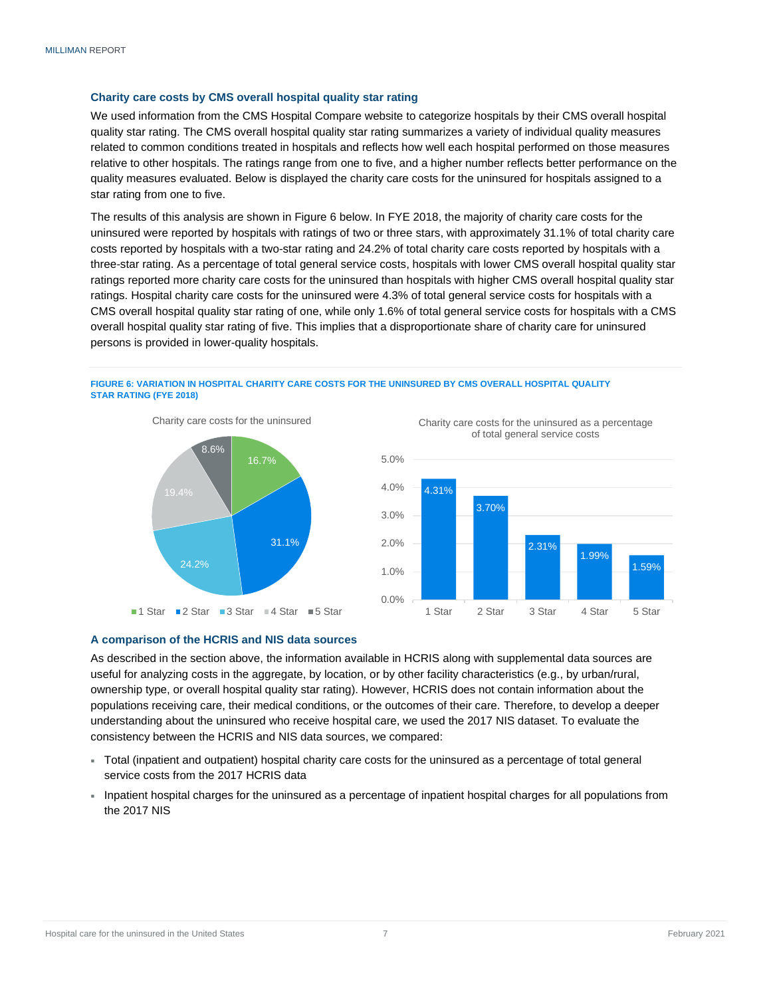#### **Charity care costs by CMS overall hospital quality star rating**

We used information from the CMS Hospital Compare website to categorize hospitals by their CMS overall hospital quality star rating. The CMS overall hospital quality star rating summarizes a variety of individual quality measures related to common conditions treated in hospitals and reflects how well each hospital performed on those measures relative to other hospitals. The ratings range from one to five, and a higher number reflects better performance on the quality measures evaluated. Below is displayed the charity care costs for the uninsured for hospitals assigned to a star rating from one to five.

The results of this analysis are shown in Figure 6 below. In FYE 2018, the majority of charity care costs for the uninsured were reported by hospitals with ratings of two or three stars, with approximately 31.1% of total charity care costs reported by hospitals with a two-star rating and 24.2% of total charity care costs reported by hospitals with a three-star rating. As a percentage of total general service costs, hospitals with lower CMS overall hospital quality star ratings reported more charity care costs for the uninsured than hospitals with higher CMS overall hospital quality star ratings. Hospital charity care costs for the uninsured were 4.3% of total general service costs for hospitals with a CMS overall hospital quality star rating of one, while only 1.6% of total general service costs for hospitals with a CMS overall hospital quality star rating of five. This implies that a disproportionate share of charity care for uninsured persons is provided in lower-quality hospitals.

#### **FIGURE 6: VARIATION IN HOSPITAL CHARITY CARE COSTS FOR THE UNINSURED BY CMS OVERALL HOSPITAL QUALITY STAR RATING (FYE 2018)**





Charity care costs for the uninsured as a percentage of total general service costs



#### <span id="page-8-0"></span>**A comparison of the HCRIS and NIS data sources**

As described in the section above, the information available in HCRIS along with supplemental data sources are useful for analyzing costs in the aggregate, by location, or by other facility characteristics (e.g., by urban/rural, ownership type, or overall hospital quality star rating). However, HCRIS does not contain information about the populations receiving care, their medical conditions, or the outcomes of their care. Therefore, to develop a deeper understanding about the uninsured who receive hospital care, we used the 2017 NIS dataset. To evaluate the consistency between the HCRIS and NIS data sources, we compared:

- Total (inpatient and outpatient) hospital charity care costs for the uninsured as a percentage of total general service costs from the 2017 HCRIS data
- Inpatient hospital charges for the uninsured as a percentage of inpatient hospital charges for all populations from the 2017 NIS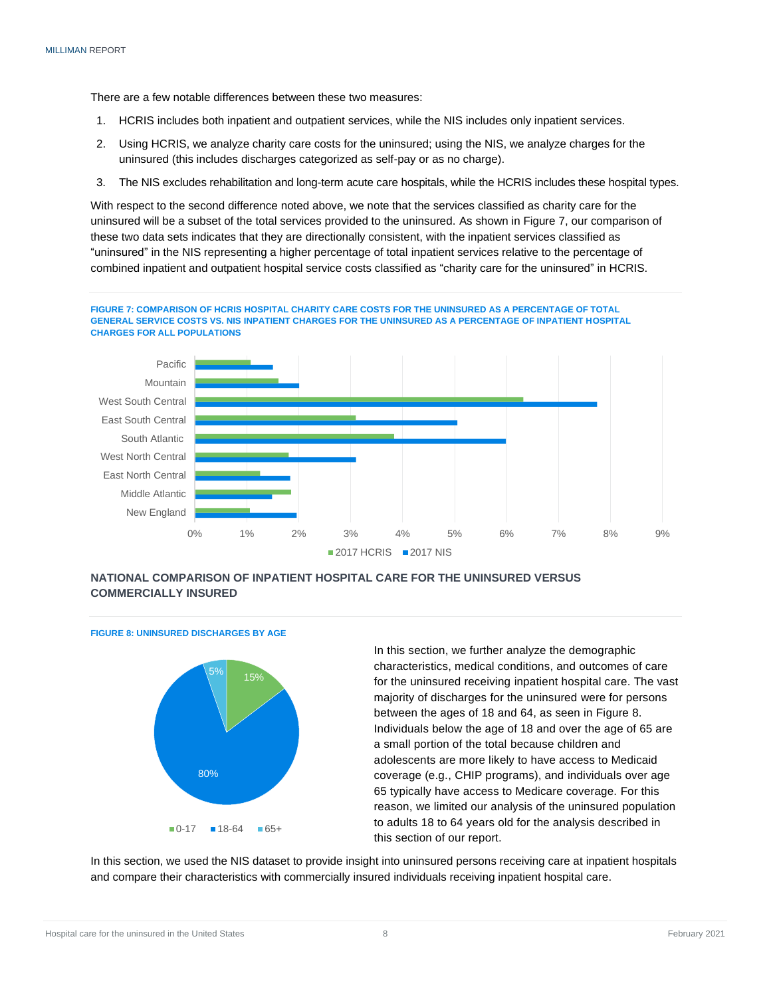There are a few notable differences between these two measures:

- 1. HCRIS includes both inpatient and outpatient services, while the NIS includes only inpatient services.
- 2. Using HCRIS, we analyze charity care costs for the uninsured; using the NIS, we analyze charges for the uninsured (this includes discharges categorized as self-pay or as no charge).
- 3. The NIS excludes rehabilitation and long-term acute care hospitals, while the HCRIS includes these hospital types.

With respect to the second difference noted above, we note that the services classified as charity care for the uninsured will be a subset of the total services provided to the uninsured. As shown in Figure 7, our comparison of these two data sets indicates that they are directionally consistent, with the inpatient services classified as "uninsured" in the NIS representing a higher percentage of total inpatient services relative to the percentage of combined inpatient and outpatient hospital service costs classified as "charity care for the uninsured" in HCRIS.





#### <span id="page-9-0"></span>**NATIONAL COMPARISON OF INPATIENT HOSPITAL CARE FOR THE UNINSURED VERSUS COMMERCIALLY INSURED**



**FIGURE 8: UNINSURED DISCHARGES BY AGE**

In this section, we further analyze the demographic characteristics, medical conditions, and outcomes of care for the uninsured receiving inpatient hospital care. The vast majority of discharges for the uninsured were for persons between the ages of 18 and 64, as seen in Figure 8. Individuals below the age of 18 and over the age of 65 are a small portion of the total because children and adolescents are more likely to have access to Medicaid coverage (e.g., CHIP programs), and individuals over age 65 typically have access to Medicare coverage. For this reason, we limited our analysis of the uninsured population to adults 18 to 64 years old for the analysis described in this section of our report.

<span id="page-9-1"></span>In this section, we used the NIS dataset to provide insight into uninsured persons receiving care at inpatient hospitals and compare their characteristics with commercially insured individuals receiving inpatient hospital care.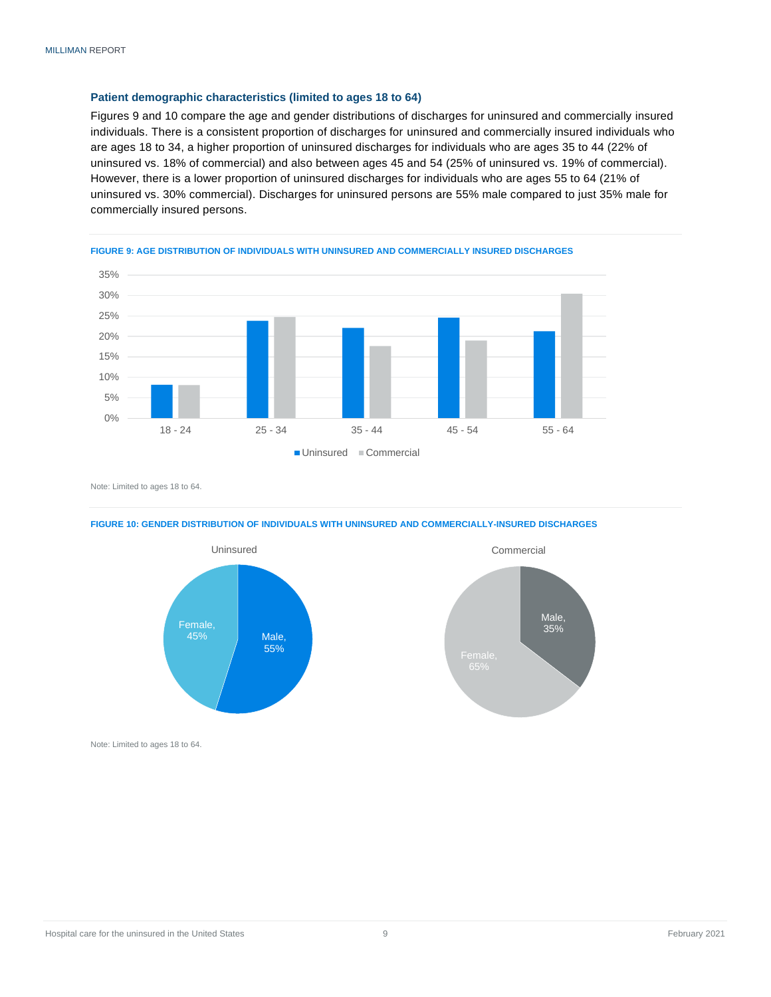#### **Patient demographic characteristics (limited to ages 18 to 64)**

Figures 9 and 10 compare the age and gender distributions of discharges for uninsured and commercially insured individuals. There is a consistent proportion of discharges for uninsured and commercially insured individuals who are ages 18 to 34, a higher proportion of uninsured discharges for individuals who are ages 35 to 44 (22% of uninsured vs. 18% of commercial) and also between ages 45 and 54 (25% of uninsured vs. 19% of commercial). However, there is a lower proportion of uninsured discharges for individuals who are ages 55 to 64 (21% of uninsured vs. 30% commercial). Discharges for uninsured persons are 55% male compared to just 35% male for commercially insured persons.





Note: Limited to ages 18 to 64.

#### **FIGURE 10: GENDER DISTRIBUTION OF INDIVIDUALS WITH UNINSURED AND COMMERCIALLY-INSURED DISCHARGES**





Note: Limited to ages 18 to 64.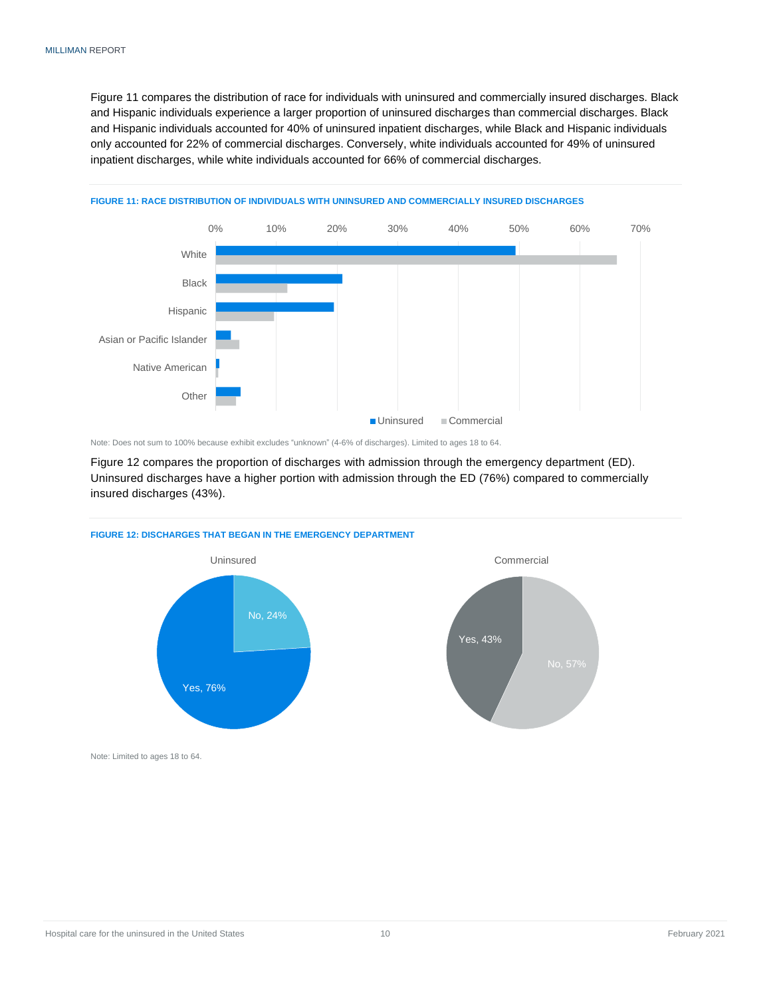Figure 11 compares the distribution of race for individuals with uninsured and commercially insured discharges. Black and Hispanic individuals experience a larger proportion of uninsured discharges than commercial discharges. Black and Hispanic individuals accounted for 40% of uninsured inpatient discharges, while Black and Hispanic individuals only accounted for 22% of commercial discharges. Conversely, white individuals accounted for 49% of uninsured inpatient discharges, while white individuals accounted for 66% of commercial discharges.



#### **FIGURE 11: RACE DISTRIBUTION OF INDIVIDUALS WITH UNINSURED AND COMMERCIALLY INSURED DISCHARGES**

Note: Does not sum to 100% because exhibit excludes "unknown" (4-6% of discharges). Limited to ages 18 to 64.

Figure 12 compares the proportion of discharges with admission through the emergency department (ED). Uninsured discharges have a higher portion with admission through the ED (76%) compared to commercially insured discharges (43%).

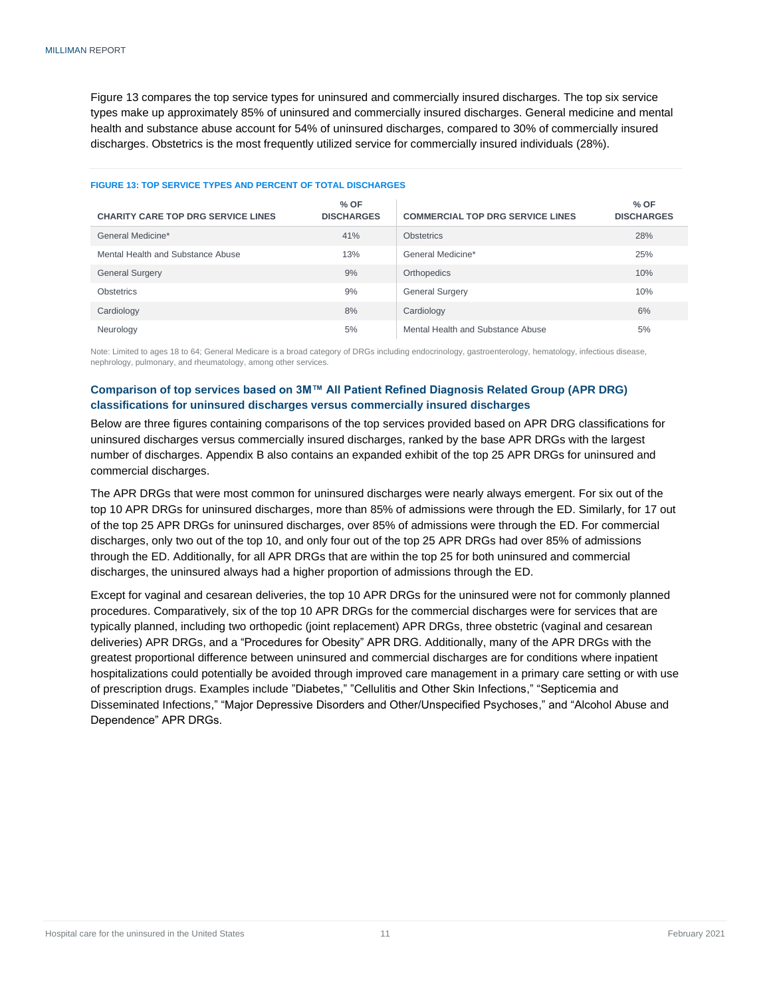Figure 13 compares the top service types for uninsured and commercially insured discharges. The top six service types make up approximately 85% of uninsured and commercially insured discharges. General medicine and mental health and substance abuse account for 54% of uninsured discharges, compared to 30% of commercially insured discharges. Obstetrics is the most frequently utilized service for commercially insured individuals (28%).

| <b>CHARITY CARE TOP DRG SERVICE LINES</b> | $%$ OF<br><b>DISCHARGES</b> | <b>COMMERCIAL TOP DRG SERVICE LINES</b> | $%$ OF<br><b>DISCHARGES</b> |
|-------------------------------------------|-----------------------------|-----------------------------------------|-----------------------------|
| General Medicine*                         | 41%                         | <b>Obstetrics</b>                       | 28%                         |
| Mental Health and Substance Abuse         | 13%                         | General Medicine*                       | 25%                         |
| <b>General Surgery</b>                    | 9%                          | Orthopedics                             | 10%                         |
| <b>Obstetrics</b>                         | 9%                          | <b>General Surgery</b>                  | 10%                         |
| Cardiology                                | 8%                          | Cardiology                              | 6%                          |
| Neurology                                 | 5%                          | Mental Health and Substance Abuse       | 5%                          |

#### **FIGURE 13: TOP SERVICE TYPES AND PERCENT OF TOTAL DISCHARGES**

Note: Limited to ages 18 to 64; General Medicare is a broad category of DRGs including endocrinology, gastroenterology, hematology, infectious disease, nephrology, pulmonary, and rheumatology, among other services.

#### <span id="page-12-0"></span>**Comparison of top services based on 3M™ All Patient Refined Diagnosis Related Group (APR DRG) classifications for uninsured discharges versus commercially insured discharges**

Below are three figures containing comparisons of the top services provided based on APR DRG classifications for uninsured discharges versus commercially insured discharges, ranked by the base APR DRGs with the largest number of discharges. Appendix B also contains an expanded exhibit of the top 25 APR DRGs for uninsured and commercial discharges.

The APR DRGs that were most common for uninsured discharges were nearly always emergent. For six out of the top 10 APR DRGs for uninsured discharges, more than 85% of admissions were through the ED. Similarly, for 17 out of the top 25 APR DRGs for uninsured discharges, over 85% of admissions were through the ED. For commercial discharges, only two out of the top 10, and only four out of the top 25 APR DRGs had over 85% of admissions through the ED. Additionally, for all APR DRGs that are within the top 25 for both uninsured and commercial discharges, the uninsured always had a higher proportion of admissions through the ED.

Except for vaginal and cesarean deliveries, the top 10 APR DRGs for the uninsured were not for commonly planned procedures. Comparatively, six of the top 10 APR DRGs for the commercial discharges were for services that are typically planned, including two orthopedic (joint replacement) APR DRGs, three obstetric (vaginal and cesarean deliveries) APR DRGs, and a "Procedures for Obesity" APR DRG. Additionally, many of the APR DRGs with the greatest proportional difference between uninsured and commercial discharges are for conditions where inpatient hospitalizations could potentially be avoided through improved care management in a primary care setting or with use of prescription drugs. Examples include "Diabetes," "Cellulitis and Other Skin Infections," "Septicemia and Disseminated Infections," "Major Depressive Disorders and Other/Unspecified Psychoses," and "Alcohol Abuse and Dependence" APR DRGs.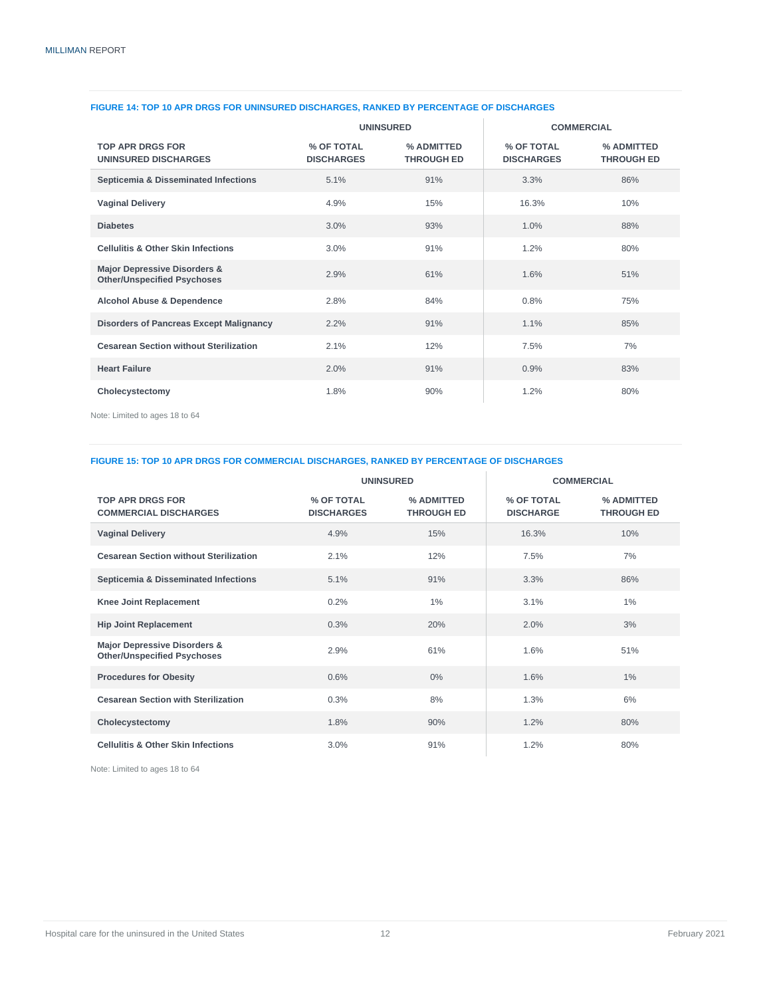|                                                                               | <b>UNINSURED</b>                |                                 | <b>COMMERCIAL</b>               |                                 |
|-------------------------------------------------------------------------------|---------------------------------|---------------------------------|---------------------------------|---------------------------------|
| <b>TOP APR DRGS FOR</b><br><b>UNINSURED DISCHARGES</b>                        | % OF TOTAL<br><b>DISCHARGES</b> | % ADMITTED<br><b>THROUGH ED</b> | % OF TOTAL<br><b>DISCHARGES</b> | % ADMITTED<br><b>THROUGH ED</b> |
| Septicemia & Disseminated Infections                                          | 5.1%                            | 91%                             | 3.3%                            | 86%                             |
| <b>Vaginal Delivery</b>                                                       | 4.9%                            | 15%                             | 16.3%                           | 10%                             |
| <b>Diabetes</b>                                                               | 3.0%                            | 93%                             | 1.0%                            | 88%                             |
| <b>Cellulitis &amp; Other Skin Infections</b>                                 | 3.0%                            | 91%                             | 1.2%                            | 80%                             |
| <b>Major Depressive Disorders &amp;</b><br><b>Other/Unspecified Psychoses</b> | 2.9%                            | 61%                             | 1.6%                            | 51%                             |
| <b>Alcohol Abuse &amp; Dependence</b>                                         | 2.8%                            | 84%                             | 0.8%                            | 75%                             |
| <b>Disorders of Pancreas Except Malignancy</b>                                | 2.2%                            | 91%                             | 1.1%                            | 85%                             |
| <b>Cesarean Section without Sterilization</b>                                 | 2.1%                            | 12%                             | 7.5%                            | 7%                              |
| <b>Heart Failure</b>                                                          | 2.0%                            | 91%                             | 0.9%                            | 83%                             |
| Cholecystectomy                                                               | 1.8%                            | 90%                             | 1.2%                            | 80%                             |

#### **FIGURE 14: TOP 10 APR DRGS FOR UNINSURED DISCHARGES, RANKED BY PERCENTAGE OF DISCHARGES**

Note: Limited to ages 18 to 64

#### **FIGURE 15: TOP 10 APR DRGS FOR COMMERCIAL DISCHARGES, RANKED BY PERCENTAGE OF DISCHARGES**

|                                                                    | <b>UNINSURED</b>                |                                 |                                | <b>COMMERCIAL</b>               |
|--------------------------------------------------------------------|---------------------------------|---------------------------------|--------------------------------|---------------------------------|
| <b>TOP APR DRGS FOR</b><br><b>COMMERCIAL DISCHARGES</b>            | % OF TOTAL<br><b>DISCHARGES</b> | % ADMITTED<br><b>THROUGH ED</b> | % OF TOTAL<br><b>DISCHARGE</b> | % ADMITTED<br><b>THROUGH ED</b> |
| <b>Vaginal Delivery</b>                                            | 4.9%                            | 15%                             | 16.3%                          | 10%                             |
| <b>Cesarean Section without Sterilization</b>                      | 2.1%                            | 12%                             | 7.5%                           | 7%                              |
| Septicemia & Disseminated Infections                               | 5.1%                            | 91%                             | 3.3%                           | 86%                             |
| <b>Knee Joint Replacement</b>                                      | 0.2%                            | 1%                              | 3.1%                           | 1%                              |
| <b>Hip Joint Replacement</b>                                       | 0.3%                            | 20%                             | 2.0%                           | 3%                              |
| Major Depressive Disorders &<br><b>Other/Unspecified Psychoses</b> | 2.9%                            | 61%                             | 1.6%                           | 51%                             |
| <b>Procedures for Obesity</b>                                      | 0.6%                            | $0\%$                           | 1.6%                           | $1\%$                           |
| <b>Cesarean Section with Sterilization</b>                         | 0.3%                            | 8%                              | 1.3%                           | 6%                              |
| Cholecystectomy                                                    | 1.8%                            | 90%                             | 1.2%                           | 80%                             |
| <b>Cellulitis &amp; Other Skin Infections</b>                      | 3.0%                            | 91%                             | 1.2%                           | 80%                             |

Note: Limited to ages 18 to 64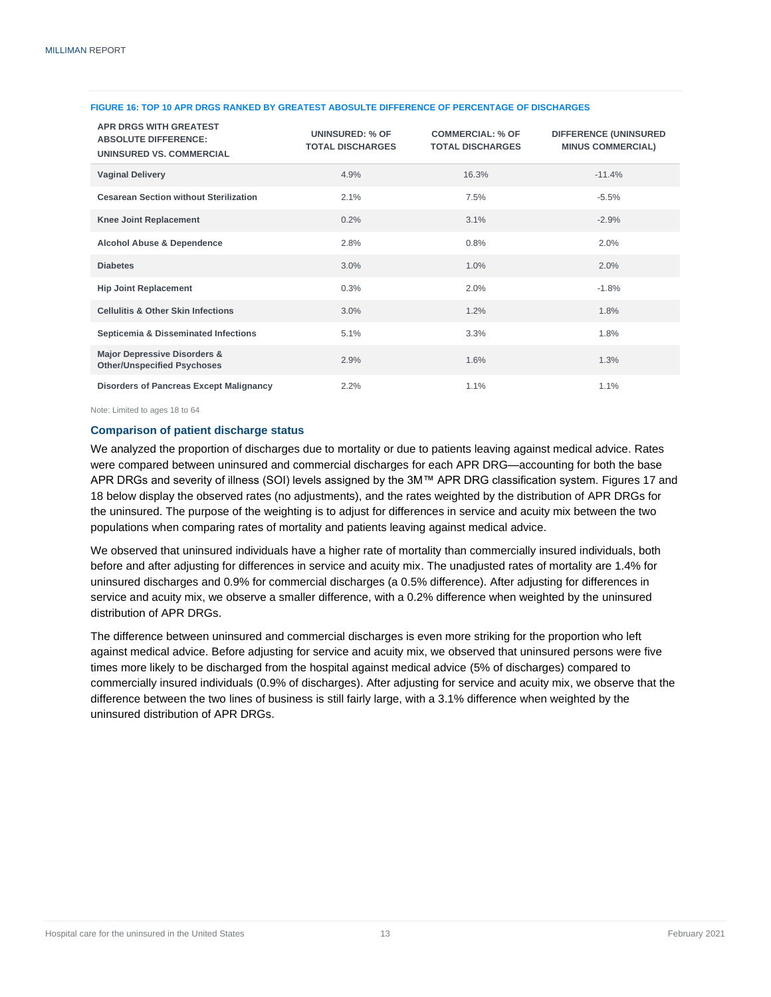| <b>APR DRGS WITH GREATEST</b><br><b>ABSOLUTE DIFFERENCE:</b><br>UNINSURED VS. COMMERCIAL | <b>UNINSURED: % OF</b><br><b>TOTAL DISCHARGES</b> | <b>COMMERCIAL: % OF</b><br><b>TOTAL DISCHARGES</b> | <b>DIFFERENCE (UNINSURED</b><br><b>MINUS COMMERCIAL)</b> |
|------------------------------------------------------------------------------------------|---------------------------------------------------|----------------------------------------------------|----------------------------------------------------------|
| <b>Vaginal Delivery</b>                                                                  | 4.9%                                              | 16.3%                                              | $-11.4%$                                                 |
| <b>Cesarean Section without Sterilization</b>                                            | 2.1%                                              | 7.5%                                               | $-5.5%$                                                  |
| <b>Knee Joint Replacement</b>                                                            | 0.2%                                              | 3.1%                                               | $-2.9%$                                                  |
| <b>Alcohol Abuse &amp; Dependence</b>                                                    | 2.8%                                              | 0.8%                                               | 2.0%                                                     |
| <b>Diabetes</b>                                                                          | 3.0%                                              | 1.0%                                               | 2.0%                                                     |
| <b>Hip Joint Replacement</b>                                                             | 0.3%                                              | 2.0%                                               | $-1.8%$                                                  |
| <b>Cellulitis &amp; Other Skin Infections</b>                                            | 3.0%                                              | 1.2%                                               | 1.8%                                                     |
| Septicemia & Disseminated Infections                                                     | 5.1%                                              | 3.3%                                               | 1.8%                                                     |
| Major Depressive Disorders &<br><b>Other/Unspecified Psychoses</b>                       | 2.9%                                              | 1.6%                                               | 1.3%                                                     |
| <b>Disorders of Pancreas Except Malignancy</b>                                           | 2.2%                                              | 1.1%                                               | 1.1%                                                     |

#### **FIGURE 16: TOP 10 APR DRGS RANKED BY GREATEST ABOSULTE DIFFERENCE OF PERCENTAGE OF DISCHARGES**

Note: Limited to ages 18 to 64

#### <span id="page-14-0"></span>**Comparison of patient discharge status**

We analyzed the proportion of discharges due to mortality or due to patients leaving against medical advice. Rates were compared between uninsured and commercial discharges for each APR DRG—accounting for both the base APR DRGs and severity of illness (SOI) levels assigned by the 3M™ APR DRG classification system. Figures 17 and 18 below display the observed rates (no adjustments), and the rates weighted by the distribution of APR DRGs for the uninsured. The purpose of the weighting is to adjust for differences in service and acuity mix between the two populations when comparing rates of mortality and patients leaving against medical advice.

We observed that uninsured individuals have a higher rate of mortality than commercially insured individuals, both before and after adjusting for differences in service and acuity mix. The unadjusted rates of mortality are 1.4% for uninsured discharges and 0.9% for commercial discharges (a 0.5% difference). After adjusting for differences in service and acuity mix, we observe a smaller difference, with a 0.2% difference when weighted by the uninsured distribution of APR DRGs.

The difference between uninsured and commercial discharges is even more striking for the proportion who left against medical advice. Before adjusting for service and acuity mix, we observed that uninsured persons were five times more likely to be discharged from the hospital against medical advice (5% of discharges) compared to commercially insured individuals (0.9% of discharges). After adjusting for service and acuity mix, we observe that the difference between the two lines of business is still fairly large, with a 3.1% difference when weighted by the uninsured distribution of APR DRGs.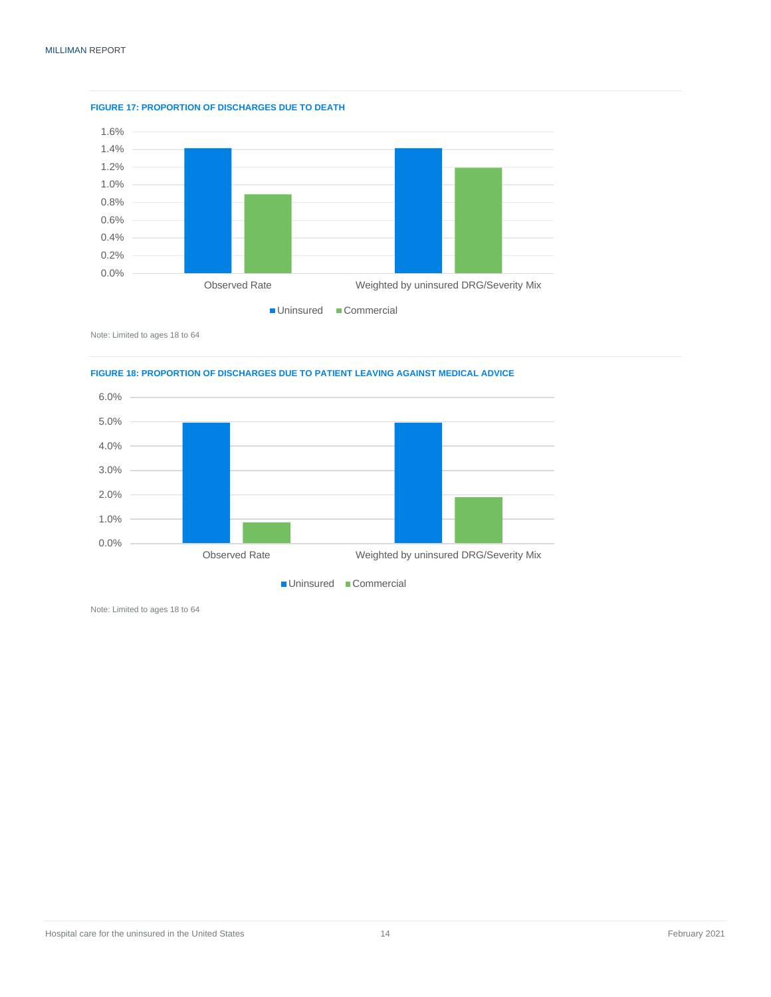

**FIGURE 17: PROPORTION OF DISCHARGES DUE TO DEATH**

Note: Limited to ages 18 to 64





Note: Limited to ages 18 to 64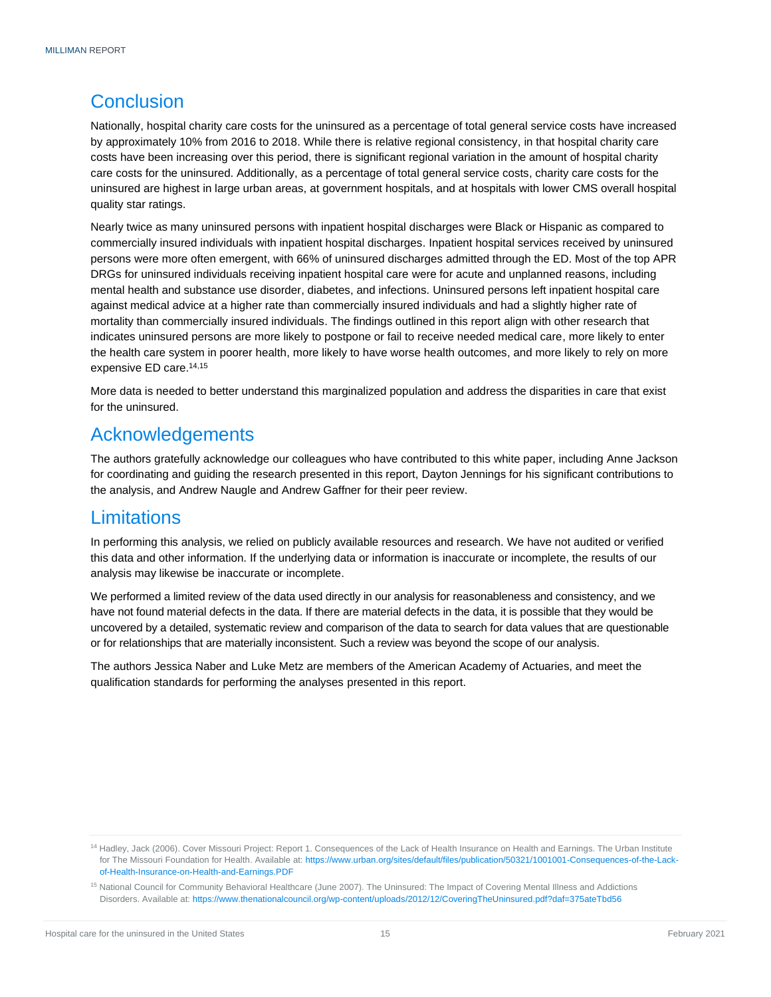### <span id="page-16-0"></span>**Conclusion**

Nationally, hospital charity care costs for the uninsured as a percentage of total general service costs have increased by approximately 10% from 2016 to 2018. While there is relative regional consistency, in that hospital charity care costs have been increasing over this period, there is significant regional variation in the amount of hospital charity care costs for the uninsured. Additionally, as a percentage of total general service costs, charity care costs for the uninsured are highest in large urban areas, at government hospitals, and at hospitals with lower CMS overall hospital quality star ratings.

Nearly twice as many uninsured persons with inpatient hospital discharges were Black or Hispanic as compared to commercially insured individuals with inpatient hospital discharges. Inpatient hospital services received by uninsured persons were more often emergent, with 66% of uninsured discharges admitted through the ED. Most of the top APR DRGs for uninsured individuals receiving inpatient hospital care were for acute and unplanned reasons, including mental health and substance use disorder, diabetes, and infections. Uninsured persons left inpatient hospital care against medical advice at a higher rate than commercially insured individuals and had a slightly higher rate of mortality than commercially insured individuals. The findings outlined in this report align with other research that indicates uninsured persons are more likely to postpone or fail to receive needed medical care, more likely to enter the health care system in poorer health, more likely to have worse health outcomes, and more likely to rely on more expensive ED care. 14,15

More data is needed to better understand this marginalized population and address the disparities in care that exist for the uninsured.

### <span id="page-16-1"></span>Acknowledgements

The authors gratefully acknowledge our colleagues who have contributed to this white paper, including Anne Jackson for coordinating and guiding the research presented in this report, Dayton Jennings for his significant contributions to the analysis, and Andrew Naugle and Andrew Gaffner for their peer review.

### <span id="page-16-2"></span>**Limitations**

In performing this analysis, we relied on publicly available resources and research. We have not audited or verified this data and other information. If the underlying data or information is inaccurate or incomplete, the results of our analysis may likewise be inaccurate or incomplete.

We performed a limited review of the data used directly in our analysis for reasonableness and consistency, and we have not found material defects in the data. If there are material defects in the data, it is possible that they would be uncovered by a detailed, systematic review and comparison of the data to search for data values that are questionable or for relationships that are materially inconsistent. Such a review was beyond the scope of our analysis.

The authors Jessica Naber and Luke Metz are members of the American Academy of Actuaries, and meet the qualification standards for performing the analyses presented in this report.

<sup>&</sup>lt;sup>14</sup> Hadley, Jack (2006). Cover Missouri Project: Report 1. Consequences of the Lack of Health Insurance on Health and Earnings. The Urban Institute for The Missouri Foundation for Health. Available at[: https://www.urban.org/sites/default/files/publication/50321/1001001-Consequences-of-the-Lack](https://www.urban.org/sites/default/files/publication/50321/1001001-Consequences-of-the-Lack-of-Health-Insurance-on-Health-and-Earnings.PDF)[of-Health-Insurance-on-Health-and-Earnings.PDF](https://www.urban.org/sites/default/files/publication/50321/1001001-Consequences-of-the-Lack-of-Health-Insurance-on-Health-and-Earnings.PDF)

<sup>&</sup>lt;sup>15</sup> National Council for Community Behavioral Healthcare (June 2007). The Uninsured: The Impact of Covering Mental Illness and Addictions Disorders. Available at[: https://www.thenationalcouncil.org/wp-content/uploads/2012/12/CoveringTheUninsured.pdf?daf=375ateTbd56](https://www.thenationalcouncil.org/wp-content/uploads/2012/12/CoveringTheUninsured.pdf?daf=375ateTbd56)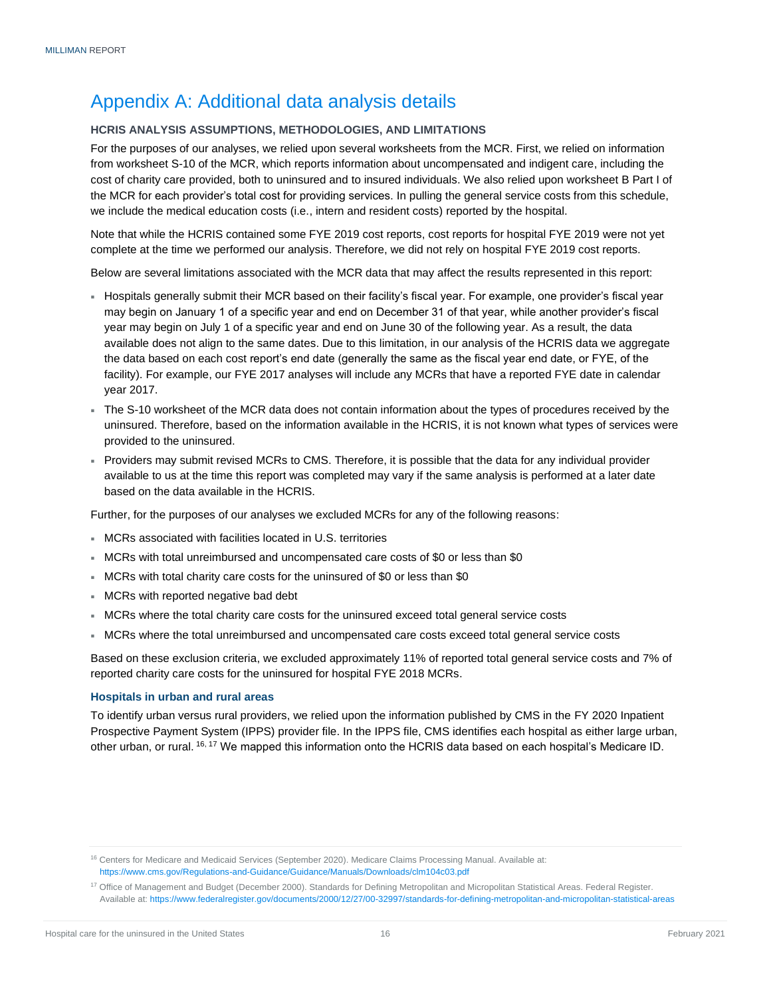### <span id="page-17-0"></span>Appendix A: Additional data analysis details

#### <span id="page-17-1"></span>**HCRIS ANALYSIS ASSUMPTIONS, METHODOLOGIES, AND LIMITATIONS**

For the purposes of our analyses, we relied upon several worksheets from the MCR. First, we relied on information from worksheet S-10 of the MCR, which reports information about uncompensated and indigent care, including the cost of charity care provided, both to uninsured and to insured individuals. We also relied upon worksheet B Part I of the MCR for each provider's total cost for providing services. In pulling the general service costs from this schedule, we include the medical education costs (i.e., intern and resident costs) reported by the hospital.

Note that while the HCRIS contained some FYE 2019 cost reports, cost reports for hospital FYE 2019 were not yet complete at the time we performed our analysis. Therefore, we did not rely on hospital FYE 2019 cost reports.

Below are several limitations associated with the MCR data that may affect the results represented in this report:

- Hospitals generally submit their MCR based on their facility's fiscal year. For example, one provider's fiscal year may begin on January 1 of a specific year and end on December 31 of that year, while another provider's fiscal year may begin on July 1 of a specific year and end on June 30 of the following year. As a result, the data available does not align to the same dates. Due to this limitation, in our analysis of the HCRIS data we aggregate the data based on each cost report's end date (generally the same as the fiscal year end date, or FYE, of the facility). For example, our FYE 2017 analyses will include any MCRs that have a reported FYE date in calendar year 2017.
- The S-10 worksheet of the MCR data does not contain information about the types of procedures received by the uninsured. Therefore, based on the information available in the HCRIS, it is not known what types of services were provided to the uninsured.
- Providers may submit revised MCRs to CMS. Therefore, it is possible that the data for any individual provider available to us at the time this report was completed may vary if the same analysis is performed at a later date based on the data available in the HCRIS.

Further, for the purposes of our analyses we excluded MCRs for any of the following reasons:

- MCRs associated with facilities located in U.S. territories
- MCRs with total unreimbursed and uncompensated care costs of \$0 or less than \$0
- MCRs with total charity care costs for the uninsured of \$0 or less than \$0
- MCRs with reported negative bad debt
- MCRs where the total charity care costs for the uninsured exceed total general service costs
- MCRs where the total unreimbursed and uncompensated care costs exceed total general service costs

Based on these exclusion criteria, we excluded approximately 11% of reported total general service costs and 7% of reported charity care costs for the uninsured for hospital FYE 2018 MCRs.

#### <span id="page-17-2"></span>**Hospitals in urban and rural areas**

To identify urban versus rural providers, we relied upon the information published by CMS in the FY 2020 Inpatient Prospective Payment System (IPPS) provider file. In the IPPS file, CMS identifies each hospital as either large urban, other urban, or rural. 16, <sup>17</sup> We mapped this information onto the HCRIS data based on each hospital's Medicare ID.

<sup>16</sup> Centers for Medicare and Medicaid Services (September 2020). Medicare Claims Processing Manual. Available at: <https://www.cms.gov/Regulations-and-Guidance/Guidance/Manuals/Downloads/clm104c03.pdf>

<sup>&</sup>lt;sup>17</sup> Office of Management and Budget (December 2000). Standards for Defining Metropolitan and Micropolitan Statistical Areas. Federal Register. Available at[: https://www.federalregister.gov/documents/2000/12/27/00-32997/standards-for-defining-metropolitan-and-micropolitan-statistical-areas](https://www.federalregister.gov/documents/2000/12/27/00-32997/standards-for-defining-metropolitan-and-micropolitan-statistical-areas)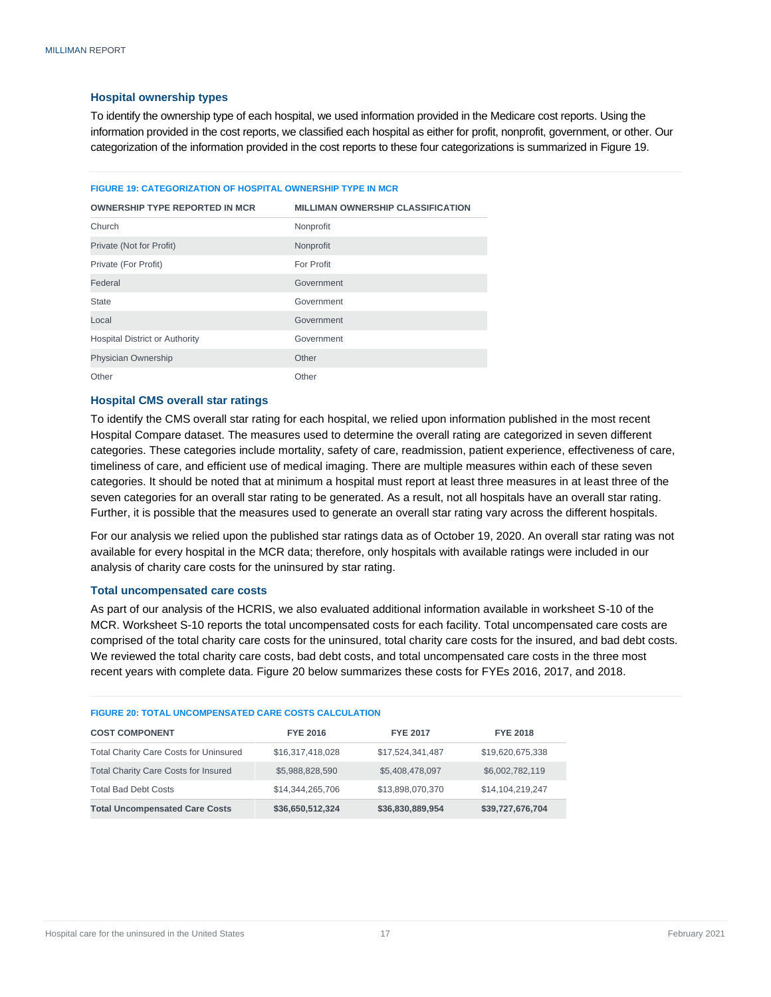#### <span id="page-18-0"></span>**Hospital ownership types**

To identify the ownership type of each hospital, we used information provided in the Medicare cost reports. Using the information provided in the cost reports, we classified each hospital as either for profit, nonprofit, government, or other. Our categorization of the information provided in the cost reports to these four categorizations is summarized in Figure 19.

#### **FIGURE 19: CATEGORIZATION OF HOSPITAL OWNERSHIP TYPE IN MCR**

| <b>OWNERSHIP TYPE REPORTED IN MCR</b> | <b>MILLIMAN OWNERSHIP CLASSIFICATION</b> |
|---------------------------------------|------------------------------------------|
| Church                                | Nonprofit                                |
| Private (Not for Profit)              | Nonprofit                                |
| Private (For Profit)                  | For Profit                               |
| Federal                               | Government                               |
| <b>State</b>                          | Government                               |
| Local                                 | Government                               |
| <b>Hospital District or Authority</b> | Government                               |
| <b>Physician Ownership</b>            | Other                                    |
| Other                                 | Other                                    |

#### <span id="page-18-1"></span>**Hospital CMS overall star ratings**

To identify the CMS overall star rating for each hospital, we relied upon information published in the most recent Hospital Compare dataset. The measures used to determine the overall rating are categorized in seven different categories. These categories include mortality, safety of care, readmission, patient experience, effectiveness of care, timeliness of care, and efficient use of medical imaging. There are multiple measures within each of these seven categories. It should be noted that at minimum a hospital must report at least three measures in at least three of the seven categories for an overall star rating to be generated. As a result, not all hospitals have an overall star rating. Further, it is possible that the measures used to generate an overall star rating vary across the different hospitals.

For our analysis we relied upon the published star ratings data as of October 19, 2020. An overall star rating was not available for every hospital in the MCR data; therefore, only hospitals with available ratings were included in our analysis of charity care costs for the uninsured by star rating.

#### <span id="page-18-2"></span>**Total uncompensated care costs**

As part of our analysis of the HCRIS, we also evaluated additional information available in worksheet S-10 of the MCR. Worksheet S-10 reports the total uncompensated costs for each facility. Total uncompensated care costs are comprised of the total charity care costs for the uninsured, total charity care costs for the insured, and bad debt costs. We reviewed the total charity care costs, bad debt costs, and total uncompensated care costs in the three most recent years with complete data. Figure 20 below summarizes these costs for FYEs 2016, 2017, and 2018.

| <b>FIGURE 20: TOTAL UNCOMPENSATED CARE COSTS CALCULATION</b> |                  |                  |                  |  |  |
|--------------------------------------------------------------|------------------|------------------|------------------|--|--|
| <b>COST COMPONENT</b>                                        | <b>FYE 2016</b>  | <b>FYE 2017</b>  | <b>FYE 2018</b>  |  |  |
| <b>Total Charity Care Costs for Uninsured</b>                | \$16,317,418,028 | \$17,524,341,487 | \$19,620,675,338 |  |  |
| <b>Total Charity Care Costs for Insured</b>                  | \$5,988,828,590  | \$5,408,478,097  | \$6,002,782,119  |  |  |
| <b>Total Bad Debt Costs</b>                                  | \$14,344,265,706 | \$13,898,070,370 | \$14,104,219,247 |  |  |
| <b>Total Uncompensated Care Costs</b>                        | \$36,650,512,324 | \$36,830,889,954 | \$39,727,676,704 |  |  |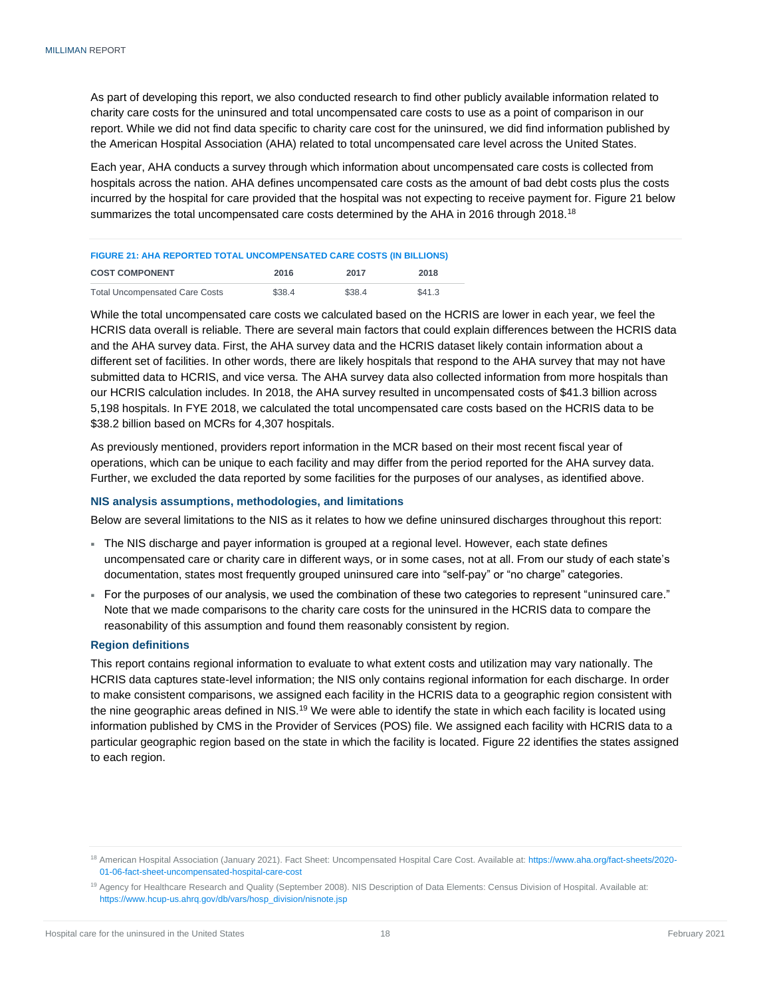As part of developing this report, we also conducted research to find other publicly available information related to charity care costs for the uninsured and total uncompensated care costs to use as a point of comparison in our report. While we did not find data specific to charity care cost for the uninsured, we did find information published by the American Hospital Association (AHA) related to total uncompensated care level across the United States.

Each year, AHA conducts a survey through which information about uncompensated care costs is collected from hospitals across the nation. AHA defines uncompensated care costs as the amount of bad debt costs plus the costs incurred by the hospital for care provided that the hospital was not expecting to receive payment for. Figure 21 below summarizes the total uncompensated care costs determined by the AHA in 2016 through 2018.<sup>18</sup>

#### **FIGURE 21: AHA REPORTED TOTAL UNCOMPENSATED CARE COSTS (IN BILLIONS)**

| <b>COST COMPONENT</b>                 | 2016   | 2017   | 2018   |
|---------------------------------------|--------|--------|--------|
| <b>Total Uncompensated Care Costs</b> | \$38.4 | \$38.4 | \$41.3 |

While the total uncompensated care costs we calculated based on the HCRIS are lower in each year, we feel the HCRIS data overall is reliable. There are several main factors that could explain differences between the HCRIS data and the AHA survey data. First, the AHA survey data and the HCRIS dataset likely contain information about a different set of facilities. In other words, there are likely hospitals that respond to the AHA survey that may not have submitted data to HCRIS, and vice versa. The AHA survey data also collected information from more hospitals than our HCRIS calculation includes. In 2018, the AHA survey resulted in uncompensated costs of \$41.3 billion across 5,198 hospitals. In FYE 2018, we calculated the total uncompensated care costs based on the HCRIS data to be \$38.2 billion based on MCRs for 4,307 hospitals.

As previously mentioned, providers report information in the MCR based on their most recent fiscal year of operations, which can be unique to each facility and may differ from the period reported for the AHA survey data. Further, we excluded the data reported by some facilities for the purposes of our analyses, as identified above.

#### <span id="page-19-0"></span>**NIS analysis assumptions, methodologies, and limitations**

Below are several limitations to the NIS as it relates to how we define uninsured discharges throughout this report:

- The NIS discharge and payer information is grouped at a regional level. However, each state defines uncompensated care or charity care in different ways, or in some cases, not at all. From our study of each state's documentation, states most frequently grouped uninsured care into "self-pay" or "no charge" categories.
- For the purposes of our analysis, we used the combination of these two categories to represent "uninsured care." Note that we made comparisons to the charity care costs for the uninsured in the HCRIS data to compare the reasonability of this assumption and found them reasonably consistent by region.

#### <span id="page-19-1"></span>**Region definitions**

This report contains regional information to evaluate to what extent costs and utilization may vary nationally. The HCRIS data captures state-level information; the NIS only contains regional information for each discharge. In order to make consistent comparisons, we assigned each facility in the HCRIS data to a geographic region consistent with the nine geographic areas defined in NIS.<sup>19</sup> We were able to identify the state in which each facility is located using information published by CMS in the Provider of Services (POS) file. We assigned each facility with HCRIS data to a particular geographic region based on the state in which the facility is located. Figure 22 identifies the states assigned to each region.

<sup>18</sup> American Hospital Association (January 2021). Fact Sheet: Uncompensated Hospital Care Cost. Available at: [https://www.aha.org/fact-sheets/2020-](https://www.aha.org/fact-sheets/2020-01-06-fact-sheet-uncompensated-hospital-care-cost) [01-06-fact-sheet-uncompensated-hospital-care-cost](https://www.aha.org/fact-sheets/2020-01-06-fact-sheet-uncompensated-hospital-care-cost)

<sup>19</sup> Agency for Healthcare Research and Quality (September 2008). NIS Description of Data Elements: Census Division of Hospital. Available at: [https://www.hcup-us.ahrq.gov/db/vars/hosp\\_division/nisnote.jsp](https://www.hcup-us.ahrq.gov/db/vars/hosp_division/nisnote.jsp)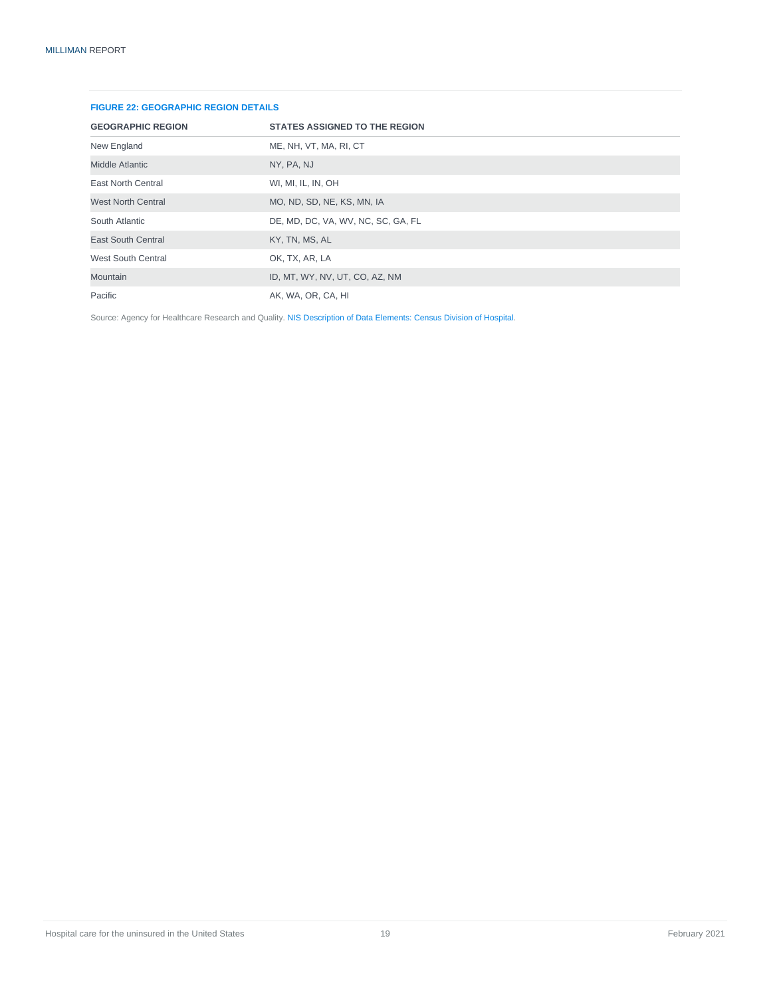| <b>FIGURE 22: GEOGRAPHIC REGION DETAILS</b> |                                      |  |  |
|---------------------------------------------|--------------------------------------|--|--|
| <b>GEOGRAPHIC REGION</b>                    | <b>STATES ASSIGNED TO THE REGION</b> |  |  |
| New England                                 | ME, NH, VT, MA, RI, CT               |  |  |
| <b>Middle Atlantic</b>                      | NY, PA, NJ                           |  |  |
| <b>East North Central</b>                   | WI, MI, IL, IN, OH                   |  |  |
| <b>West North Central</b>                   | MO, ND, SD, NE, KS, MN, IA           |  |  |
| South Atlantic                              | DE, MD, DC, VA, WV, NC, SC, GA, FL   |  |  |
| <b>East South Central</b>                   | KY, TN, MS, AL                       |  |  |
| <b>West South Central</b>                   | OK, TX, AR, LA                       |  |  |
| <b>Mountain</b>                             | ID, MT, WY, NV, UT, CO, AZ, NM       |  |  |
| Pacific                                     | AK, WA, OR, CA, HI                   |  |  |

#### **FIGURE 22: GEOGRAPHIC REGION DETAILS**

Source: Agency for Healthcare Research and Quality. [NIS Description of Data Elements: Census Division of Hospital.](https://www.hcup-us.ahrq.gov/db/vars/hosp_division/nisnote.jsp)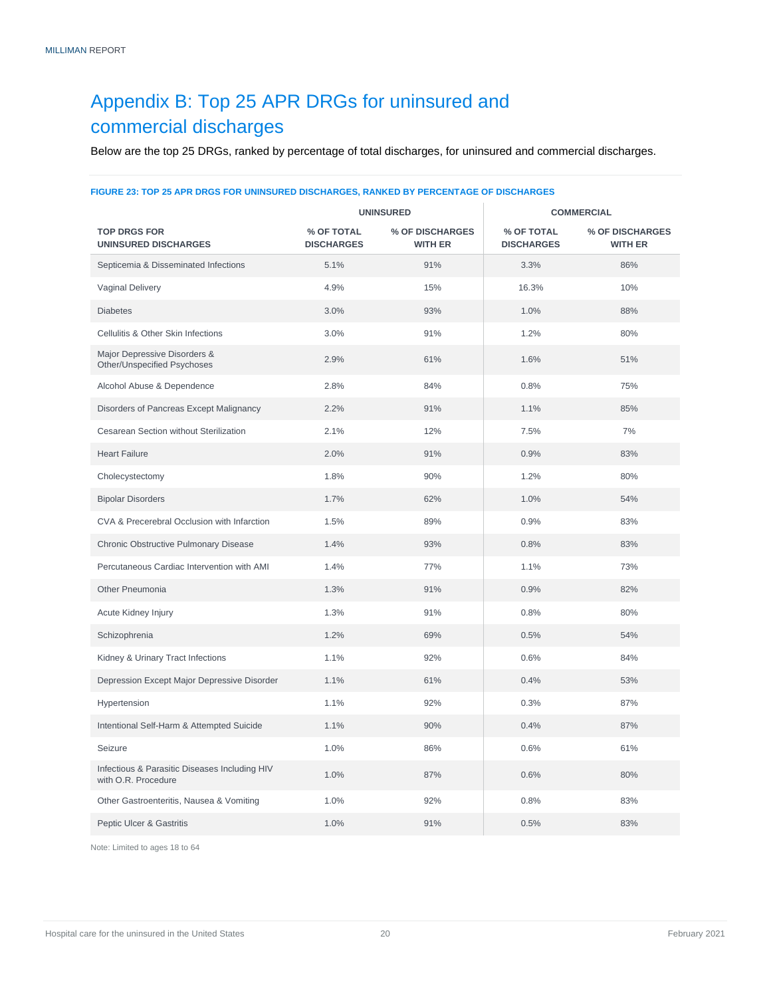### <span id="page-21-0"></span>Appendix B: Top 25 APR DRGs for uninsured and commercial discharges

Below are the top 25 DRGs, ranked by percentage of total discharges, for uninsured and commercial discharges.

### **UNINSURED COMMERCIAL TOP DRGS FOR UNINSURED DISCHARGES % OF TOTAL DISCHARGES % OF DISCHARGES WITH ER % OF TOTAL DISCHARGES % OF DISCHARGES WITH ER** Septicemia & Disseminated Infections 5.1% 91% 91% 3.3% 86% 86% Vaginal Delivery 16.3% 10% 16.3% 16.3% 16.3% 16.3% 16.3% 16.3% 16.3% Diabetes 3.0% 93% 1.0% 88% Cellulitis & Other Skin Infections 3.0% 91% 1.2% 80% Major Depressive Disorders & Other/Unspecified Psychoses 2.9% 61% 1.6% 51% Alcohol Abuse & Dependence  $2.8\%$   $84\%$   $0.8\%$   $0.8\%$  75% Disorders of Pancreas Except Malignancy 2.2% 91% 91% 1.1% 1.1% 85% Cesarean Section without Sterilization 12.1% 12% 12% 7.5% 7% 7% Heart Failure 2.0% 91% 0.9% 83% Cholecystectomy 1.8% 90% 1.2% 80% Bipolar Disorders 1.7% 62% 1.0% 54% CVA & Precerebral Occlusion with Infarction 1.5% 89% 0.9% 83% Chronic Obstructive Pulmonary Disease 1.4% 93% 93% 0.8% 83% 83% Percutaneous Cardiac Intervention with AMI 1.4% 77% 1.1% 1.1% 73% Other Pneumonia 1.3% 91% 0.9% 82% Acute Kidney Injury 1.3% 1.3% 91% 0.8% 80% 80% Schizophrenia 1.2% 69% 0.5% 54% Kidney & Urinary Tract Infections **1.1%** 92% 0.6% 84% 84% Depression Except Major Depressive Disorder 1.1% 61% 61% 0.4% 61% 53% Hypertension 1.1% 92% 0.3% 87% Intentional Self-Harm & Attempted Suicide 1.1% 90% 0.4% 87% 87% Seizure 1.0% 86% 0.6% 61% Infectious & Parasitic Diseases Including HIV nfectious & Parasitic Diseases including HIV 1.0% 1.0% 87% 1.0% 87% 0.6% 80% 80% Other Gastroenteritis, Nausea & Vomiting 1.0% 92% 92% 0.8% 83% 83% Peptic Ulcer & Gastritis 1.0% 91% 0.5% 83%

#### **FIGURE 23: TOP 25 APR DRGS FOR UNINSURED DISCHARGES, RANKED BY PERCENTAGE OF DISCHARGES**

Note: Limited to ages 18 to 64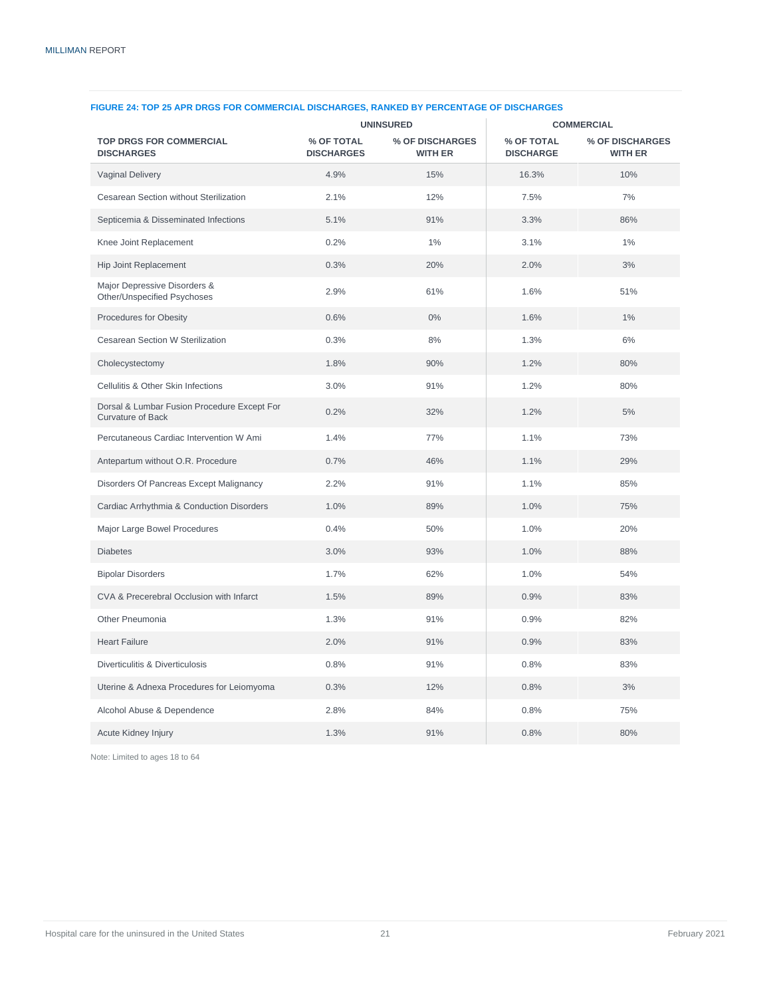|                                                                         | <b>UNINSURED</b>                |                                   | <b>COMMERCIAL</b>              |                                   |
|-------------------------------------------------------------------------|---------------------------------|-----------------------------------|--------------------------------|-----------------------------------|
| <b>TOP DRGS FOR COMMERCIAL</b><br><b>DISCHARGES</b>                     | % OF TOTAL<br><b>DISCHARGES</b> | % OF DISCHARGES<br><b>WITH ER</b> | % OF TOTAL<br><b>DISCHARGE</b> | % OF DISCHARGES<br><b>WITH ER</b> |
| <b>Vaginal Delivery</b>                                                 | 4.9%                            | 15%                               | 16.3%                          | 10%                               |
| Cesarean Section without Sterilization                                  | 2.1%                            | 12%                               | 7.5%                           | 7%                                |
| Septicemia & Disseminated Infections                                    | 5.1%                            | 91%                               | 3.3%                           | 86%                               |
| Knee Joint Replacement                                                  | 0.2%                            | $1\%$                             | 3.1%                           | $1\%$                             |
| Hip Joint Replacement                                                   | 0.3%                            | 20%                               | 2.0%                           | 3%                                |
| Major Depressive Disorders &<br>Other/Unspecified Psychoses             | 2.9%                            | 61%                               | 1.6%                           | 51%                               |
| Procedures for Obesity                                                  | 0.6%                            | $0\%$                             | 1.6%                           | $1\%$                             |
| Cesarean Section W Sterilization                                        | 0.3%                            | 8%                                | 1.3%                           | 6%                                |
| Cholecystectomy                                                         | 1.8%                            | 90%                               | 1.2%                           | 80%                               |
| Cellulitis & Other Skin Infections                                      | 3.0%                            | 91%                               | 1.2%                           | 80%                               |
| Dorsal & Lumbar Fusion Procedure Except For<br><b>Curvature of Back</b> | 0.2%                            | 32%                               | 1.2%                           | 5%                                |
| Percutaneous Cardiac Intervention W Ami                                 | 1.4%                            | 77%                               | 1.1%                           | 73%                               |
| Antepartum without O.R. Procedure                                       | 0.7%                            | 46%                               | 1.1%                           | 29%                               |
| Disorders Of Pancreas Except Malignancy                                 | 2.2%                            | 91%                               | 1.1%                           | 85%                               |
| Cardiac Arrhythmia & Conduction Disorders                               | 1.0%                            | 89%                               | 1.0%                           | 75%                               |
| Major Large Bowel Procedures                                            | 0.4%                            | 50%                               | 1.0%                           | 20%                               |
| <b>Diabetes</b>                                                         | 3.0%                            | 93%                               | 1.0%                           | 88%                               |
| <b>Bipolar Disorders</b>                                                | 1.7%                            | 62%                               | 1.0%                           | 54%                               |
| CVA & Precerebral Occlusion with Infarct                                | 1.5%                            | 89%                               | 0.9%                           | 83%                               |
| Other Pneumonia                                                         | 1.3%                            | 91%                               | 0.9%                           | 82%                               |
| <b>Heart Failure</b>                                                    | 2.0%                            | 91%                               | 0.9%                           | 83%                               |
| Diverticulitis & Diverticulosis                                         | 0.8%                            | 91%                               | 0.8%                           | 83%                               |
| Uterine & Adnexa Procedures for Leiomyoma                               | 0.3%                            | 12%                               | 0.8%                           | 3%                                |
| Alcohol Abuse & Dependence                                              | 2.8%                            | 84%                               | 0.8%                           | 75%                               |
| Acute Kidney Injury                                                     | 1.3%                            | 91%                               | 0.8%                           | 80%                               |

#### **FIGURE 24: TOP 25 APR DRGS FOR COMMERCIAL DISCHARGES, RANKED BY PERCENTAGE OF DISCHARGES**

Note: Limited to ages 18 to 64